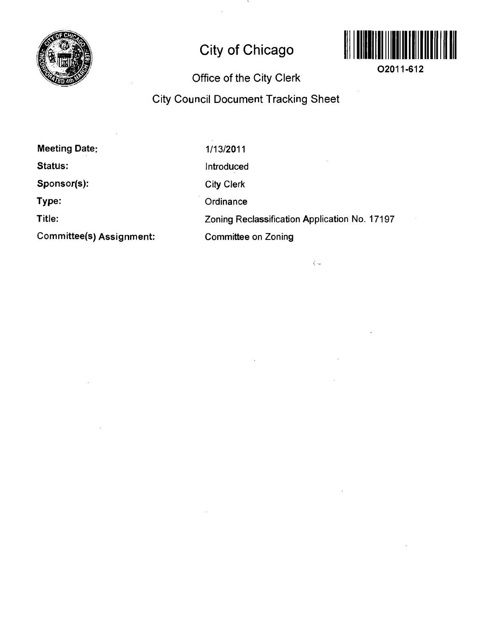

# **City of Chicago**



**02011-612** 

# **Office of the City Clerk**

# **City Council Document Tracking Sheet**

 $\zeta$   $\sim$ 

**Meeting Date: Status: Sponsor(s): Type: Title: Committee(s) Assignment:**  1/13/2011 Introduced City Clerk **Ordinance** Zoning Reclassification Application No. 17197 Committee on Zoning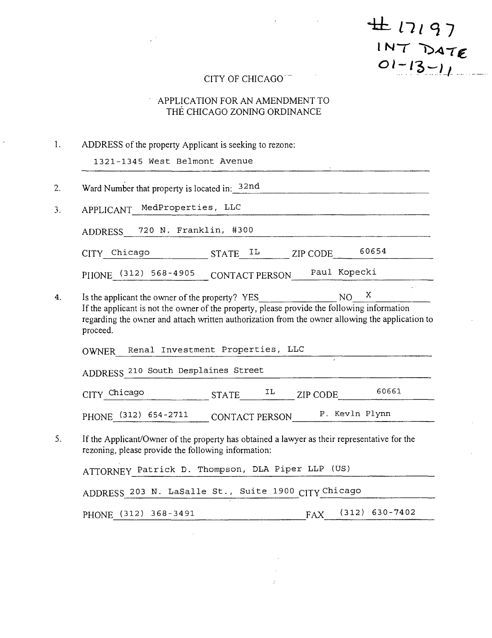#17197  $1NT$  $DATE$ <br> $O1-13-11$ 

### CITY OF CHICAGO

#### APPLICATION FOR AN AMENDMENT TO  $\epsilon$ THE CHICAGO ZONING ORDINANCE

| ADDRESS of the property Applicant is seeking to rezone:                                                                                                                                                                   |
|---------------------------------------------------------------------------------------------------------------------------------------------------------------------------------------------------------------------------|
| 1321-1345 West Belmont Avenue                                                                                                                                                                                             |
| Ward Number that property is located in: $32nd$                                                                                                                                                                           |
| APPLICANT MedProperties, LLC                                                                                                                                                                                              |
| ADDRESS 720 N. Franklin, #300                                                                                                                                                                                             |
| 60654<br>CITY_Chicago STATE_IL ________ ZIP CODE                                                                                                                                                                          |
| PIIONE (312) 568-4905 CONTACT PERSON Paul Kopecki                                                                                                                                                                         |
| $\mathbf X$<br>If the applicant is not the owner of the property, please provide the following information<br>regarding the owner and attach written authorization from the owner allowing the application to<br>proceed. |
| OWNER Renal Investment Properties, LLC                                                                                                                                                                                    |
| ADDRESS 210 South Desplaines Street                                                                                                                                                                                       |
|                                                                                                                                                                                                                           |
| 60661<br>$CITY$ Chicago STATE $^{IL}$ ZIP CODE                                                                                                                                                                            |
| PHONE (312) 654-2711 CONTACT PERSON P. Kevln Plynn                                                                                                                                                                        |
| If the Applicant/Owner of the property has obtained a lawyer as their representative for the<br>rezoning, please provide the following information:                                                                       |
| ATTORNEY Patrick D. Thompson, DLA Piper LLP (US)                                                                                                                                                                          |
| ADDRESS 203 N. LaSalle St., Suite 1900 CITY Chicago                                                                                                                                                                       |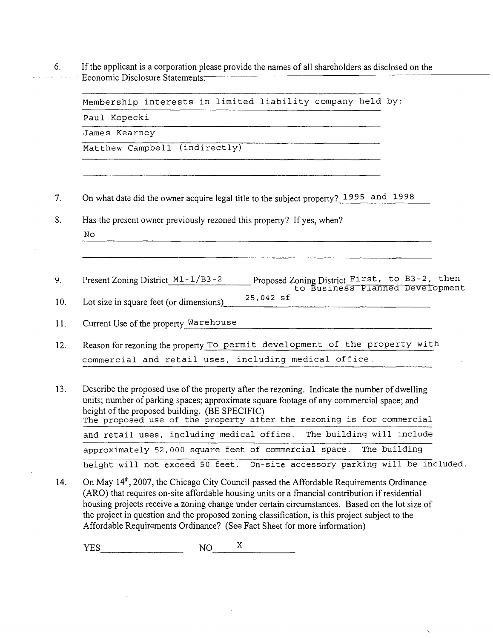6. If the applicant is a corporation please provide the names of all shareholders as disclosed on the Economic Disclosure Statements.

| Membership interests in limited liability company held by:                                                                                                                                                                                                                                                           |  |
|----------------------------------------------------------------------------------------------------------------------------------------------------------------------------------------------------------------------------------------------------------------------------------------------------------------------|--|
| Paul Kopecki                                                                                                                                                                                                                                                                                                         |  |
| James Kearney                                                                                                                                                                                                                                                                                                        |  |
| Matthew Campbell (indirectly)                                                                                                                                                                                                                                                                                        |  |
| On what date did the owner acquire legal title to the subject property? 1995 and 1998                                                                                                                                                                                                                                |  |
| Has the present owner previously rezoned this property? If yes, when?<br>No                                                                                                                                                                                                                                          |  |
|                                                                                                                                                                                                                                                                                                                      |  |
| Proposed Zoning District First, to B3-2, then<br>to Business Planned Development<br>Present Zoning District $M1 - 1/B3 - 2$<br>25,042 sf<br>Lot size in square feet (or dimensions)<br>Current Use of the property Warehouse                                                                                         |  |
| Reason for rezoning the property To permit development of the property with                                                                                                                                                                                                                                          |  |
| commercial and retail uses, including medical office.                                                                                                                                                                                                                                                                |  |
| Describe the proposed use of the property after the rezoning. Indicate the number of dwelling<br>units; number of parking spaces; approximate square footage of any commercial space; and<br>height of the proposed building. (BE SPECIFIC)<br>The proposed use of the property after the rezoning is for commercial |  |
| and retail uses, including medical office. The building will include                                                                                                                                                                                                                                                 |  |
| approximately 52,000 square feet of commercial space. The building                                                                                                                                                                                                                                                   |  |
| height will not exceed 50 feet. On-site accessory parking will be included.                                                                                                                                                                                                                                          |  |

14. On May 14<sup>th</sup>, 2007, the Chicago City Council passed the Affordable Requirements Ordinance (ARO) that requires on-site affordable housing units or a financial contribution if residential housing projects receive a zoning change vmder certain circumstances. Based on the lot size of the project in question and the proposed zoning classification, is this project subject to the Affordable Requirements Ordinance? (See Fact Sheet for more information)

 $\ddot{\phantom{0}}$ 

 $YES$  NO  $X$ 

9.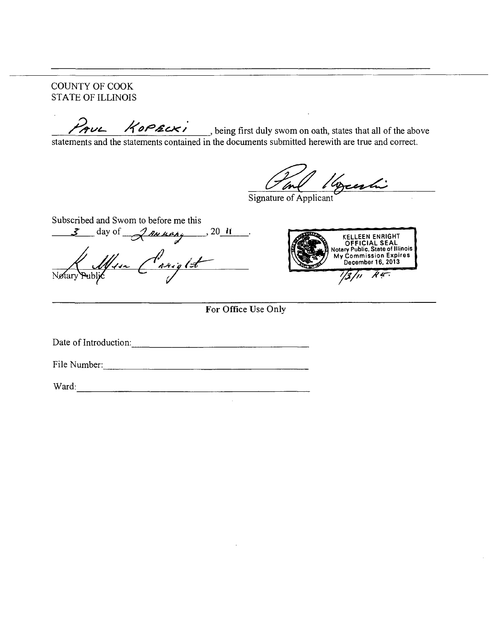COUNTY OF COOK STATE OF ILLINOIS

being first duly swom on oath, states that all of the above

statements and the statements contained in the documents submitted herewith are tme and conect.

yeahi Inf

Signature of Applicant

Subscribed and Swom to before me this  $\frac{3}{\sqrt{2}}$  day of  $\frac{201}{\sqrt{2}}$ . */ /^-^-v 'ff i ~t7*  V



**For Office Use Only** 

Date of Introduction: 2000 and 2000 and 2000 and 2000 and 2000 and 2000 and 2000 and 2000 and 2000 and 2000 and 2000 and 2000 and 2000 and 2000 and 2000 and 2000 and 2000 and 2000 and 2000 and 2000 and 2000 and 2000 and 20

File Number: The Numbers of the Contract of the Contract of the Contract of the Contract of the Contract of the Contract of the Contract of the Contract of the Contract of the Contract of the Contract of the Contract of th

Ward: when the contract of the contract of the contract of the contract of the contract of the contract of the contract of the contract of the contract of the contract of the contract of the contract of the contract of the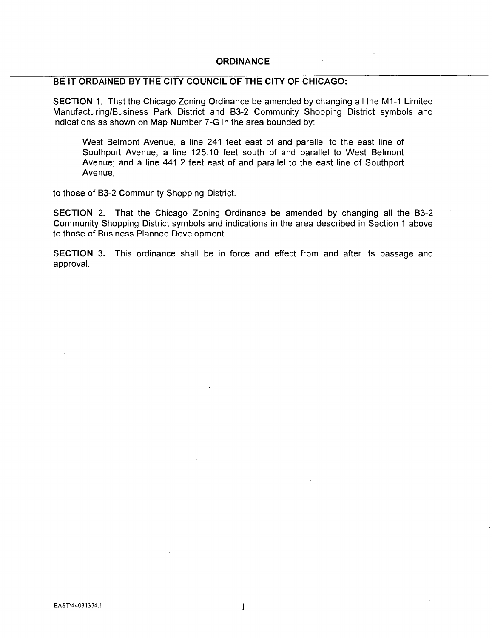#### **ORDINANCE**

#### **BE IT ORDAINED BY THE CITY COUNCIL OF THE CITY OF CHICAGO:**

SECTION 1. That the Chicago Zoning Ordinance be amended by changing all the MI-1 Limited Manufacturing/Business Park District and 83-2 Community Shopping District symbols and indications as shown on Map Number 7-G in the area bounded by:

West Belmont Avenue, a line 241 feet east of and parallel to the east line of Southport Avenue; a line 125.10 feet south of and parallel to West Belmont Avenue; and a line 441.2 feet east of and parallel to the east line of Southport Avenue,

to those of B3-2 Community Shopping District.

SECTION 2. That the Chicago Zoning Ordinance be amended by changing all the B3-2 Community Shopping District symbols and indications in the area described in Section 1 above to those of Business Planned Development.

SECTION 3. This ordinance shall be in force and effect from and after its passage and approval.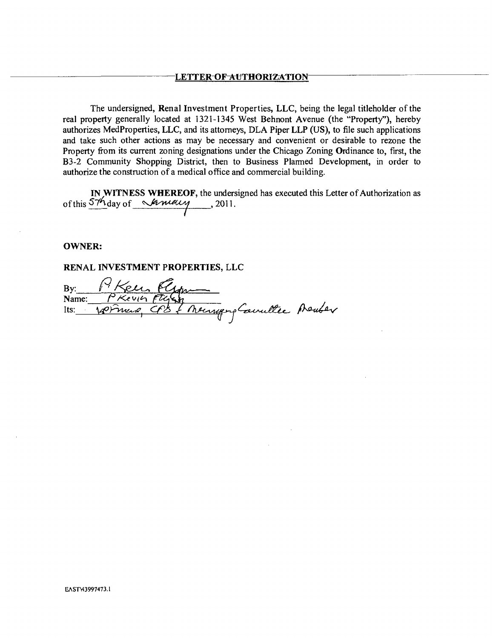The undersigned. Renal Investment Properties, LLC, being the legal titleholder of the real property generally located at 1321-1345 West Behnont Avenue (the "Property"), hereby authorizes MedProperties, LLC, and its attorneys, DLA Piper LLP (US), to file such applications and take such other actions as may be necessary and convenient or desirable to rezone the Property from its current zoning designations under the Chicago Zoning Ordinance to, first, the B3-2 Community Shopping District, then to Business Plarmed Development, in order to authorize the construction of a medical office and commercial building.

IN WITNESS WHEREOF, the undersigned has executed this Letter of Authorization as of this  $57h$  day of  $\mathcal{M}$ udly, 2011.

#### **OWNER:**

**RENAL INVESTMENT PROPERTIES, LLC** 

By: P' Keen Name: *PKevin F* Its: Some Cf & / heurgephandle prenter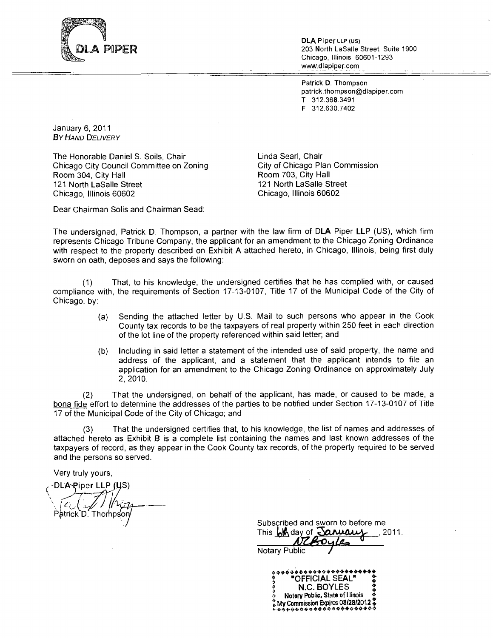

DLA Piper LLP (US) 203 North LaSalle Street, Suite 1900 Chicago, Illinois 60601-1293 www.dlapiper.com

Patrick D. Thompson patrick.thompson@dlapiper.com T 312.368.3491 F 312.630.7402

January 6, 2011 BY HAND DELIVERY

The Honorable Daniel S. Soils, Chair Chicago City Council Committee on Zoning Room 304, City Hall 121 North LaSalle Street Chicago, Illinois 60602

Linda Searl, Chair City of Chicago Plan Commission Room 703, City Hall 121 North LaSalle Street Chicago, Illinois 60602

Dear Chairman Solis and Chairman Sead;

The undersigned, Patnck D. Thompson, a partner with the law firm of DLA Piper LLP (US), which firm represents Chicago Tribune Company, the applicant for an amendment to the Chicago Zoning Ordinance with respect to the property described on Exhibit A attached hereto, in Chicago, Illinois, being first duly sworn on oath, deposes and says the following:

(1) That, to his knowledge, the undersigned certifies that he has complied with, or caused compliance with, the requirements of Section 17-13-0107, Title 17 of the Municipal Code of the City of Chicago, by:

- (a) Sending the attached letter by U.S. Mail to such persons who appear in the Cook County tax records to be the taxpayers of real property within 250 feet in each direction of the lot line of the property referenced within said letter; and
- (b) Including in said letter a statement of the intended use of said property, the name and address of the applicant, and a statement that the applicant intends to file an application for an amendment to the Chicago Zoning Ordinance on approximately July 2, 2010.

(2) That the undersigned, on behalf of the applicant, has made, or caused to be made, a bona fide effort to determine the addresses of the parties to be notified under Section 17-13-0107 of Title 17 of the Municipal Code of the City of Chicago; and

(3) That the undersigned certifies that, to his knowledge, the list of names and addresses of attached hereto as Exhibit B is a complete list containing the names and last known addresses of the taxpayers of record, as they appear in the Cook County tax records, of the property required to be served and the persons so served.

**Very truly yours,** 

**DLA-Piper LLP (US)** Patrick D. Thompson

Subscribed and sworn to before me This  $\frac{1}{2}$ **M** day of  $\frac{1}{2}$   $\frac{1}{2}$   $\frac{1}{2}$   $\frac{1}{2}$   $\frac{1}{2}$   $\frac{1}{2}$   $\frac{1}{2}$   $\frac{1}{2}$   $\frac{1}{2}$   $\frac{1}{2}$   $\frac{1}{2}$   $\frac{1}{2}$   $\frac{1}{2}$   $\frac{1}{2}$   $\frac{1}{2}$   $\frac{1}{2}$   $\frac{1}{2}$   $\frac{1}{2}$   $\frac{1}{2}$   $\frac{1}{$ 

Notary Public

OFFICIAL SEAL N.C. BOYLES Notery Poblic, State of Illinois Ay Commission Expires 08/28/2012<br>・ウィクタウタタクタクタクタクタクタクタ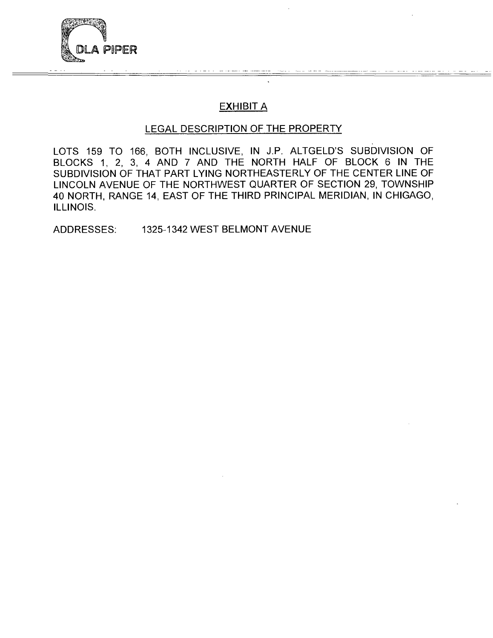

# **EXHIBIT A**

### **LEGAL DESCRIPTION OF THE PROPERTY**

LOTS 159 TO 166, BOTH INCLUSIVE, IN J.P. ALTGELD'S SUBDIVISION OF BLOCKS 1, 2, 3, 4 AND 7 AND THE NORTH HALF OF BLOCK 6 IN THE SUBDIVISION OF THAT PART LYING NORTHEASTERLY OF THE CENTER LINE OF LINCOLN AVENUE OF THE NORTHWEST QUARTER OF SECTION 29, TOWNSHIP 40 NORTH, RANGE 14, EAST OF THE THIRD PRINCIPAL MERIDIAN, IN CHIGAGO, ILLINOIS.

ADDRESSES: 1325-1342 WEST BELMONT AVENUE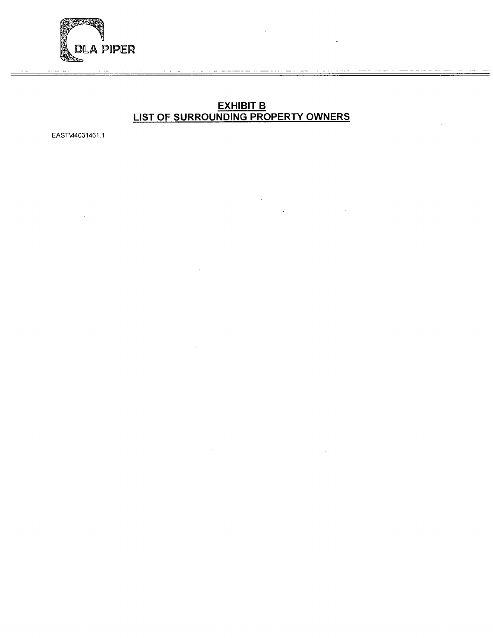

#### **EXHIBIT B LIST OF SURROUNDING PROPERTY OWNERS**

EAST\44031461.1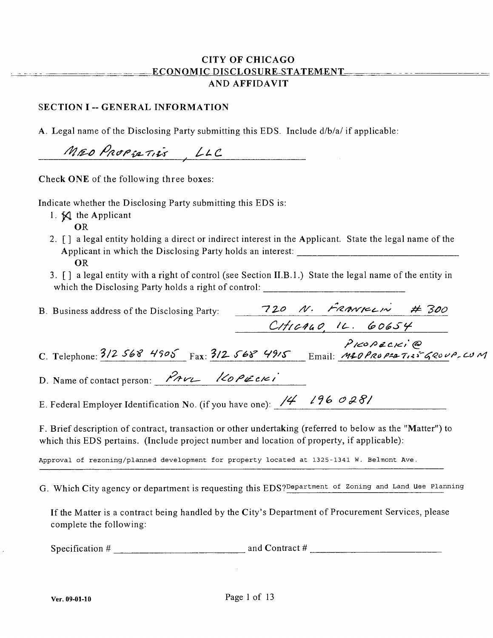#### **CITY OF CHICAGO ECONOMIC DISCLOSURE-STATEMENT-AND AFFIDAVIT**

#### **SECTION I -- GENERAL INFORMATION**

A. Legal name of the Disclosing Party submitting this EDS. Include d/b/a/ if applicable:

 $M$ ro Propiativ , LLC

**Check ONE of the following three boxes:** 

Indicate whether the Disclosing Party submitting this EDS is:

- 1.  $\boxtimes$  the Applicant
	- OR
- 2. [] a legal entity holding a direct or indirect interest in the Applicant. State the legal name of the Applicant in which the Disclosing Party holds an interest: OR
- 3. [] a legal entity with a right of control (see Section II.B. 1.) State the legal name of the entity in which the Disclosing Party holds a right of control: \_\_\_\_\_\_\_\_\_\_\_\_\_\_\_\_\_\_\_\_\_\_\_\_\_\_\_\_

| B. Business address of the Disclosing Party:                                                                                                                                                            |  | 720 N. FRANKLIN # 300  |  |
|---------------------------------------------------------------------------------------------------------------------------------------------------------------------------------------------------------|--|------------------------|--|
|                                                                                                                                                                                                         |  | $Critc$ 440 $14.60654$ |  |
| C. Telephone: $3/2$ 568 4905 Fax: $3/2$ 568 4915 Email: M20PROPER TINS GROUP. CUM                                                                                                                       |  | PICOPECICI @           |  |
| D. Name of contact person: $\mathcal{P}_{AVL}$ /20 PECKI                                                                                                                                                |  |                        |  |
| E. Federal Employer Identification No. (if you have one): $\frac{14}{4}$ $\frac{196}{000}$                                                                                                              |  |                        |  |
| F. Brief description of contract, transaction or other undertaking (referred to below as the "Matter") to<br>which this EDS pertains. (Include project number and location of property, if applicable): |  |                        |  |

Approval of rezoning/planned development for property located at 1325-1341 W. Belmont Ave.

G. Which City agency or department is requesting this EDS? Department of Zoning and Land use Planning

If the Matter is a contract being handled by the City's Department of Procurement Services, please complete the following:

Specification # and Contract #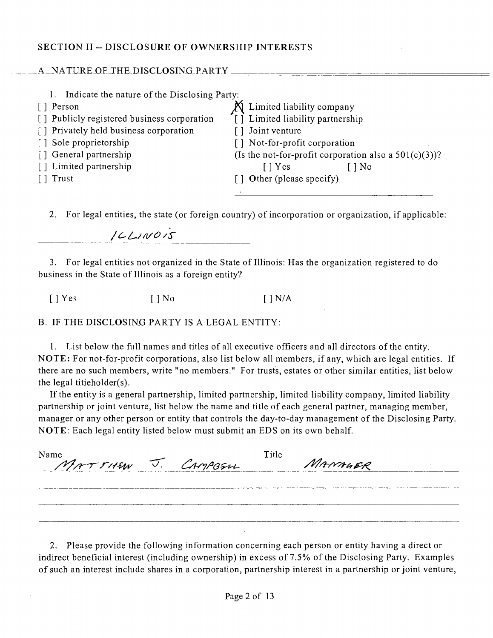#### **SECTION II - DISCLOSURE OF OWNERSHIP INTERESTS**

#### A. NATURE OF THE DISCLOSING PARTY.

| Indicate the nature of the Disclosing Party: |                                                          |
|----------------------------------------------|----------------------------------------------------------|
| [ ] Person                                   | Limited liability company                                |
| [] Publicly registered business corporation  | [ ] Limited liability partnership                        |
| [] Privately held business corporation       | [] Joint venture                                         |
| [] Sole proprietorship                       | [] Not-for-profit corporation                            |
| [] General partnership                       | (Is the not-for-profit corporation also a $501(c)(3)$ )? |
| [] Limited partnership                       | [ ] Yes<br>[ ] No                                        |
| Trust                                        | $\lceil \cdot \rceil$ Other (please specify)             |
|                                              |                                                          |

*2. For legal entities, the state (or foreign country) of incorporation or organization, if applicable:* 

*//^/^//l/O/ 'S'* 

3. For legal entities not organized in the State of Illinois: Has the organization registered to do business in the State of Illinois as a foreign entity?

 $[$  | Yes  $[$  | No  $[$  | N/A

B. IF THE DISCLOSING PARTY IS A LEGAL ENTITY:

1. List below the full names and titles of all executive officers and all directors of the entity. NOTE: For not-for-profit corporations, also list below all members, if any, which are legal entities. If there are no such members, write "no members." For trusts, estates or other similar entities, list below the legal titieholder(s).

If the entity is a general partnership, limited partnership, limited liability company, limited liability partnership or joint venture, list below the name and title of each general partner, managing member, manager or any other person or entity that controls the day-to-day management ofthe Disclosing Party. NOTE: Each legal entity listed below must submit an EDS on its own behalf.

| Name<br>MATTHEW J. CAMPBELL |  | Title | MANAGER |  |
|-----------------------------|--|-------|---------|--|
|                             |  |       |         |  |
|                             |  |       |         |  |
|                             |  |       |         |  |

2. Please provide the following information concerning each person or entity having a direct or indirect beneficial interest (including ownership) in excess of 7.5% of the Disclosing Party. Examples of such an interest include shares in a corporation, partnership interest in a partnership or joint venture.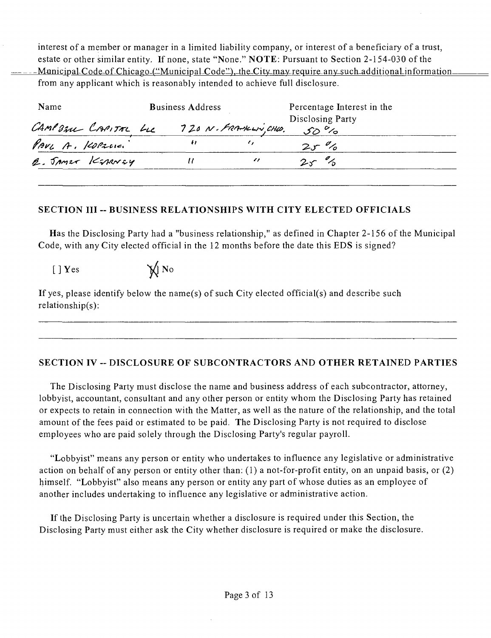interest of a member or manager in a limited liability company, or interest of a beneficiary of a trust, estate or other similar entity. If none, state "None." NOTE : Pursuant to Section 2-154-030 of the Municipal-Code-of-Chicago-("Municipal-Code"),-the-City-may-require-any-such-additional information from any applicant which is reasonably intended to achieve full disclosure.

| Name                | <b>Business Address</b> |                        | Percentage Interest in the         |  |
|---------------------|-------------------------|------------------------|------------------------------------|--|
| CAMPOZU CAPITAL LLC |                         | 720 N. FRANKLIN, CHLO. | Disclosing Party<br>$50^{\circ}$ % |  |
| PAVL A. KOPZCIC.    |                         |                        | $2r\%$                             |  |
| 2. JAMES KEDRNEY    |                         |                        | $2r\%$                             |  |
|                     |                         |                        |                                    |  |

#### SECTION III -- BUSINESS RELATIONSHIPS WITH CITY ELECTED OFFICIALS

Has the Disclosing Party had a "business relationship," as defined in Chapter 2-156 of the Municipal Code, with any City elected official in the 12 months before the date this EDS is signed?

 $[ ] Y$ es  $\mathbb{Y}$  No

If yes, please identify below the name(s) of such City elected official(s) and describe such relationship(s):

### SECTION IV -- DISCLOSURE OF SUBCONTRACTORS AND OTHER RETAINED PARTIES

The Disclosing Party must disclose the name and business address of each subcontractor, attorney, lobbyist, accountant, consultant and any other person or entity whom the Disclosing Party has retained or expects to retain in connection with the Matter, as well as the nature of the relationship, and the total amount of the fees paid or estimated to be paid. The Disclosing Party is not required to disclose employees who are paid solely through the Disclosing Party's regular payroll.

"Lobbyist" means any person or entity who undertakes to influence any legislative or administrative action on behalf of any person or entity other than: (1) a not-for-profit entity, on an unpaid basis, or (2) himself. "Lobbyist" also means any person or entity any part of whose duties as an employee of another includes undertaking to influence any legislative or administrative action.

If the Disclosing Party is uncertain whether a disclosure is required under this Section, the Disclosing Party must either ask the City whether disclosure is required or make the disclosure.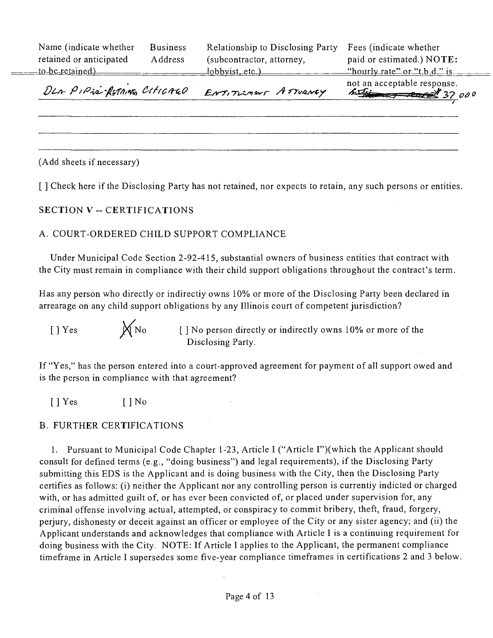| DLA PIPIE-RETAINED CITICALO |                 | ENTITULMENT ASTURNEY             | not an acceptable response.<br>$\frac{1}{2}$ $\frac{1}{2}$ $\frac{1}{2}$ $\frac{1}{2}$ $\frac{1}{2}$ $\frac{1}{2}$ $\frac{1}{2}$ $\frac{1}{2}$ $\frac{1}{2}$ $\frac{1}{2}$ $\frac{1}{2}$ $\frac{1}{2}$ $\frac{1}{2}$ $\frac{1}{2}$ $\frac{1}{2}$ $\frac{1}{2}$ $\frac{1}{2}$ $\frac{1}{2}$ $\frac{1}{2}$ $\frac{1}{2}$ $\frac{1}{2}$ $\frac{1}{2}$ |
|-----------------------------|-----------------|----------------------------------|----------------------------------------------------------------------------------------------------------------------------------------------------------------------------------------------------------------------------------------------------------------------------------------------------------------------------------------------------|
|                             |                 | $\frac{1}{10}$ obbyist, etc.)    | "hourly rate" or "t,b.d." is $\frac{1}{2}$                                                                                                                                                                                                                                                                                                         |
| retained or anticipated     | Address         | (subcontractor, attorney,        | paid or estimated.) NOTE:                                                                                                                                                                                                                                                                                                                          |
| Name (indicate whether      | <b>Business</b> | Relationship to Disclosing Party | Fees (indicate whether                                                                                                                                                                                                                                                                                                                             |

*7~* 

(Add sheets if necessary)

 $\frac{1}{2} \left( \frac{1}{2} \right) \left( \frac{1}{2} \right) \left( \frac{1}{2} \right) \left( \frac{1}{2} \right) \left( \frac{1}{2} \right) \left( \frac{1}{2} \right) \left( \frac{1}{2} \right) \left( \frac{1}{2} \right) \left( \frac{1}{2} \right) \left( \frac{1}{2} \right) \left( \frac{1}{2} \right) \left( \frac{1}{2} \right) \left( \frac{1}{2} \right) \left( \frac{1}{2} \right) \left( \frac{1}{2} \right) \left( \frac{1}{2} \right) \left( \frac$ 

**[ ] Check here if the Disclosing Party has not retained, nor expects to retain, any such persons or entities.** 

#### **SECTION V - CERTIFICATIONS**

#### A. COURT-ORDERED CHILD SUPPORT COMPLIANCE

Under Municipal Code Section 2-92-415, substantial owners of business entities that contract with the City must remain in compliance with their child support obligations throughout the contract's term.

Has any person who directly or indirectiy owns 10% or more of the Disclosing Party been declared in arrearage on any child support obligations by any Illinois court of competent jurisdiction?

[ ] Yes  $\mathbb{X}_{N^o}$  [ ] No person directly or indirectly owns 10% or more of the Disclosing Party.

If "Yes," has the person entered into a court-approved agreement for payment of all support owed and is the person in compliance with that agreement?

[] Yes [] No

#### B. FURTHER CERTIFICATIONS

1. Pursuant to Municipal Code Chapter 1-23, Article I ("Article I")(which the Applicant should consult for defined terms (e.g., "doing business") and legal requirements), if the Disclosing Party submitting this EDS is the Applicant and is doing business with the City, then the Disclosing Party certifies as follows: (i) neither the Applicant nor any controlling person is currentiy indicted or charged with, or has admitted guilt of, or has ever been convicted of, or placed under supervision for, any criminal offense involving actual, attempted, or conspiracy to commit bribery, theft, fraud, forgery, perjury, dishonesty or deceit against an officer or employee of the City or any sister agency; and (ii) the Applicant understands and acknowledges that compliance with Article I is a continuing requirement for doing business with the City. NOTE: If Article I applies to the Applicant, the permanent compliance timeframe in Article I supersedes some five-year compliance timeframes in certifications 2 and 3 below.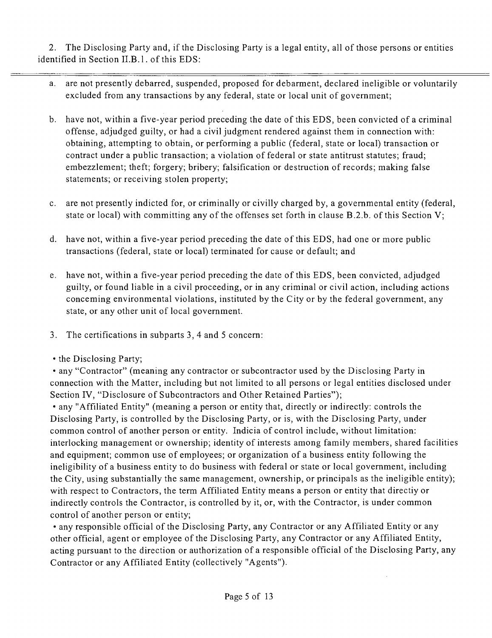2. The Disclosing Party and, if the Disclosing Party is a legal entity, all of those persons or entities identified in Section II.B.1. of this EDS:

- a. are not presently debarred, suspended, proposed for debarment, declared ineligible or voluntarily excluded from any transactions by any federal, state or local unit of government;
- b. have not, within a five-year period preceding the date of this EDS, been convicted of a criminal offense, adjudged guilty, or had a civil judgment rendered against them in connection with: obtaining, attempting to obtain, or performing a public (federal, state or local) transaction or contract under a public transaction; a violation of federal or state antitrust statutes; fraud; embezzlement; theft; forgery; bribery; falsification or destruction of records; making false statements; or receiving stolen property;
- c. are not presently indicted for, or criminally or civilly charged by, a governmental entity (federal, state or local) with committing any of the offenses set forth in clause B.2.b. of this Section V;
- d. have not, within a five-year period preceding the date of this EDS, had one or more public transactions (federal, state or local) terminated for cause or default; and
- e. have not, within a five-year period preceding the date of this EDS, been convicted, adjudged guilty, or found liable in a civil proceeding, or in any criminal or civil action, including actions conceming environmental violations, instituted by the City or by the federal government, any state, or any other unit of local government.
- 3. The certifications in subparts 3, 4 and 5 concern:
- the Disclosing Party;

• any "Contractor" (meaning any contractor or subcontractor used by the Disclosing Party in connection with the Matter, including but not limited to all persons or legal entities disclosed under Section IV, "Disclosure of Subcontractors and Other Retained Parties");

• any "Affiliated Entity" (meaning a person or entity that, directly or indirectly: controls the Disclosing Party, is controlled by the Disclosing Party, or is, with the Disclosing Party, under common control of another person or entity. Indicia of control include, without limitation: interlocking management or ownership; identity of interests among family members, shared facilities and equipment; common use of employees; or organization of a business entity following the ineligibility of a business entity to do business with federal or state or local government, including the City, using substantially the same management, ownership, or principals as the ineligible entity); with respect to Contractors, the term Affiliated Entity means a person or entity that directiy or indirectly controls the Contractor, is controlled by it, or, with the Contractor, is under common control of another person or entity;

• any responsible official of the Disclosing Party, any Contractor or any Affiliated Entity or any other official, agent or employee of the Disclosing Party, any Contractor or any Affiliated Entity, acting pursuant to the direction or authorization of a responsible official of the Disclosing Party, any Contractor or any Affiliated Entity (collectively "Agents").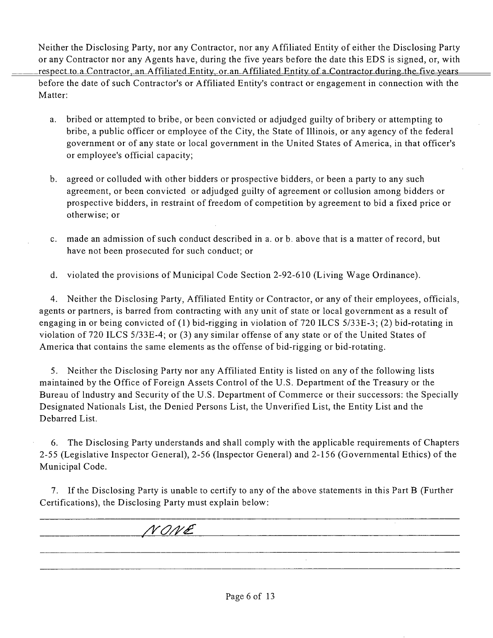Neither the Disclosing Party, nor any Contractor, nor any Affiliated Entity of either the Disclosing Party or any Contractor nor any Agents have, during the five years before the date this EDS is signed, or, with respect to a Contractor, an Affiliated Entity, or an Affiliated Entity of a Contractor during the five years before the date of such Contractor's or Affiliated Entity's contract or engagement in connection with the Matter:

- a. bribed or attempted to bribe, or been convicted or adjudged guilty of bribery or attempting to bribe, a public officer or employee of the City, the State of Illinois, or any agency of the federal government or of any state or local government in the United States of America, in that officer's or employee's official capacity;
- b. agreed or colluded with other bidders or prospective bidders, or been a party to any such agreement, or been convicted or adjudged guilty of agreement or collusion among bidders or prospective bidders, in restraint of freedom of competition by agreement to bid a fixed price or otherwise; or
- c. made an admission of such conduct described in a. or b. above that is a matter of record, but have not been prosecuted for such conduct; or
- d. violated the provisions of Municipal Code Section 2-92-610 (Living Wage Ordinance).

4. Neither the Disclosing Party, Affiliated Entity or Contractor, or any of their employees, officials, agents or partners, is barred from contracting with any unit of state or local government as a result of engaging in or being convicted of (1) bid-rigging in violation of 720 ILCS 5/33E-3; (2) bid-rotating in violation of 720 ILCS 5/33E-4; or (3) any similar offense of any state or of the United States of America that contains the same elements as the offense of bid-rigging or bid-rotating.

5. Neither the Disclosing Party nor any Affiliated Entity is listed on any of the following lists maintained by the Office of Foreign Assets Control of the U.S. Department of the Treasury or the Bureau of Industry and Security of the U.S. Department of Commerce or their successors: the Specially Designated Nationals List, the Denied Persons List, the Unverified List, the Entity List and the Debarred List.

6. The Disclosing Party understands and shall comply with the applicable requirements of Chapters 2-55 (Legislative Inspector General), 2-56 (Inspector General) and 2-156 (Governmental Ethics) of the Municipal Code.

7. If the Disclosing Party is unable to certify to any of the above statements in this Part B (Further Certifications), the Disclosing Party must explain below:

/yoyy£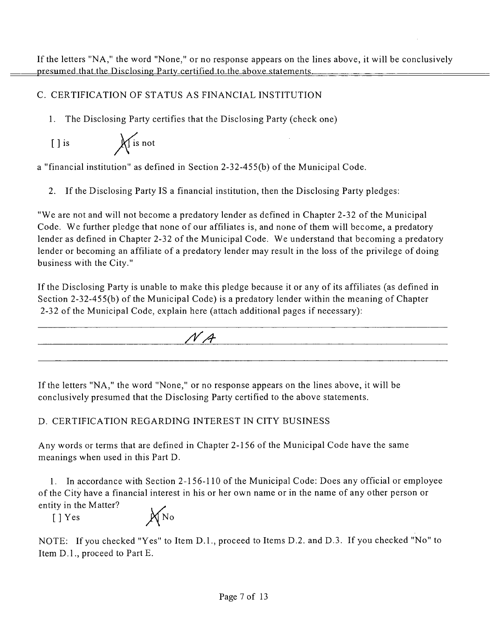### C. CERTIFICATION OF STATUS AS FINANCIAL INSTITUTION

1. The Disclosing Party certifies that the Disclosing Party (check one)

 $[ ]$  is  $\bigwedge$  is not

a "financial institution" as defined in Section 2-32-455(b) of the Municipal Code.

2. If the Disclosing Party IS a financial institution, then the Disclosing Party pledges:

"We are not and will not become a predatory lender as defined in Chapter 2-32 of the Municipal Code. We further pledge that none of our affiliates is, and none of them will become, a predatory lender as defined in Chapter 2-32 of the Municipal Code. We understand that becoming a predatory lender or becoming an affiliate of a predatory lender may result in the loss of the privilege of doing business with the City."

If the Disclosing Party is unable to make this pledge because it or any of its affiliates (as defined in Section 2-32-455(b) of the Municipal Code) is a predatory lender within the meaning of Chapter 2-32 of the Municipal Code, explain here (attach additional pages if necessary):



If the letters "NA, " the word "None," or no response appears on the lines above, it will be conclusively presumed that the Disclosing Party certified to the above statements.

### D. CERTIFICATION REGARDING INTEREST IN CITY BUSINESS

Any words or terms that are defined in Chapter 2-156 of the Municipal Code have the same meanings when used in this Part D.

1. In accordance with Section 2-156-110 ofthe Municipal Code: Does any official or employee of the City have a financial interest in his or her own name or in the name of any other person or entity in the Matter?  $[$  ] Yes  $\mathbb{X}_{\text{No}}$ 

NOTE: If you checked "Yes" to Item D.l. , proceed to Items D.2. and D.3. If you checked "No" to Item D.l. , proceed to Part E.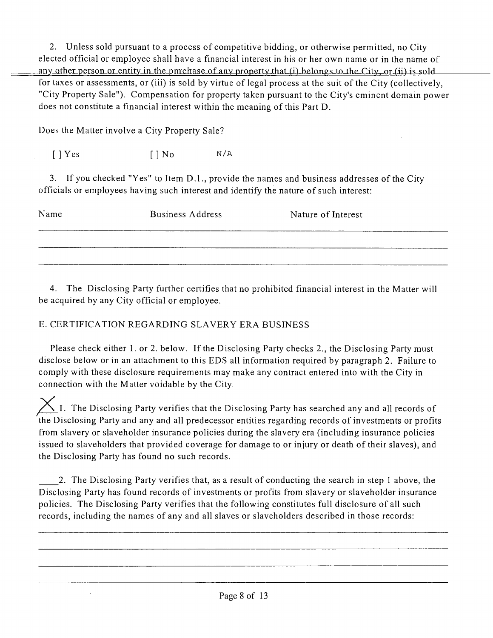2. Unless sold pursuant to a process of competitive bidding, or otherwise permitted, no City elected official or employee shall have a financial interest in his or her own name or in the name of any\_other\_person\_or\_entity\_in\_the\_pmchase\_of\_any\_property\_that\_(i) belongs to\_the\_City,-or\_(ii) is\_sold for taxes or assessments, or (iii) is sold by virtue of legal process at the suit of the City (collectively, "City Property Sale"). Compensation for property taken pursuant to the City's eminent domain power does not constitute a financial interest within the meaning of this Part D.

Does the Matter involve a City Property Sale?

 $[$  | Yes  $[$  | No  $N/A$ 

 $\ddot{\phantom{a}}$ 

3. If you checked "Yes" to Item D.1., provide the names and business addresses of the City officials or employees having such interest and identify the nature of such interest:

| Name | <b>Business Address</b> | Nature of Interest |
|------|-------------------------|--------------------|
|      |                         |                    |
|      |                         |                    |

4. The Disclosing Party further certifies that no prohibited financial interest in the Matter will be acquired by any City official or employee.

### E. CERTIFICATION REGARDING SLAVERY ERA BUSINESS

Please check either 1. or 2. below. If the Disclosing Party checks 2., the Disclosing Party must disclose below or in an attachment to this EDS all information required by paragraph 2. Failure to comply with these disclosure requirements may make any contract entered into with the City in connection with the Matter voidable by the City.

 $\overline{\phantom{a}}$  I. The Disclosing Party verifies that the Disclosing Party has searched any and all records of the Disclosing Party and any and all predecessor entities regarding records of investments or profits from slavery or slaveholder insurance policies during the slavery era (including insurance policies issued to slaveholders that provided coverage for damage to or injury or death of their slaves), and the Disclosing Party has found no such records.

2. The Disclosing Party verifies that, as a result of conducting the search in step 1 above, the Disclosing Party has found records of investments or profits from slavery or slaveholder insurance policies. The Disclosing Party verifies that the following constitutes full disclosure of all such records, including the names of any and all slaves or slaveholders described in those records: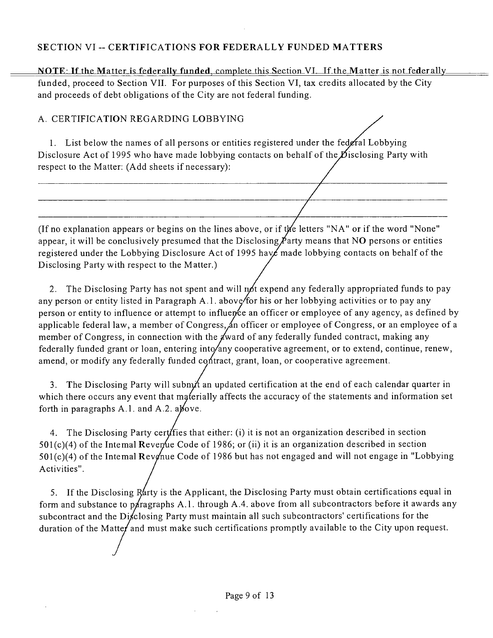#### **SECTION VI - CERTIFICATIONS FOR FEDERALLY FUNDED MATTERS**

NOTE: If the Matter is federally funded, complete this Section VI. If the Matter is not federally funded, proceed to Section VII. For purposes of this Section VI, tax credits allocated by the City and proceeds of debt obligations of the City are not federal funding.

#### A. CERTIFICATION REGARDING LOBBYING

1. List below the names of all persons or entities registered under the federal Lobbying Disclosure Act of 1995 who have made lobbying contacts on behalf of the Disclosing Party with respect to the Matter; (Add sheets if necessary):

(If no explanation appears or begins on the lines above, or if the letters "NA" or if the word "None" appear, it will be conclusively presumed that the Disclosing  $\cancel{P}$ arty means that NO persons or entities registered under the Lobbying Disclosure Act of 1995 have made lobbying contacts on behalf of the Disclosing Party with respect to the Matter.)

2. The Disclosing Party has not spent and will not expend any federally appropriated funds to pay any person or entity listed in Paragraph A.1. above/for his or her lobbying activities or to pay any person or entity to influence or attempt to influence an officer or employee of any agency, as defined by applicable federal law, a member of Congress, an officer or employee of Congress, or an employee of a member of Congress, in connection with the  $x$  ward of any federally funded contract, making any federally funded grant or loan, entering into/any cooperative agreement, or to extend, continue, renew, amend, or modify any federally funded contract, grant, loan, or cooperative agreement.

3. The Disclosing Party will submit an updated certification at the end of each calendar quarter in which there occurs any event that materially affects the accuracy of the statements and information set forth in paragraphs A.1. and A.2. also we.

4. The Disclosing Party cert/fies that either: (i) it is not an organization described in section  $501(c)(4)$  of the Intemal Revenue Code of 1986; or (ii) it is an organization described in section 501(c)(4) of the Intemal Revonue Code of 1986 but has not engaged and will not engage in "Lobbying Activities".

5. If the Disclosing Rarty is the Applicant, the Disclosing Party must obtain certifications equal in form and substance to paragraphs A.1. through A.4. above from all subcontractors before it awards any subcontract and the Disclosing Party must maintain all such subcontractors' certifications for the duration of the Matter and must make such certifications promptly available to the City upon request.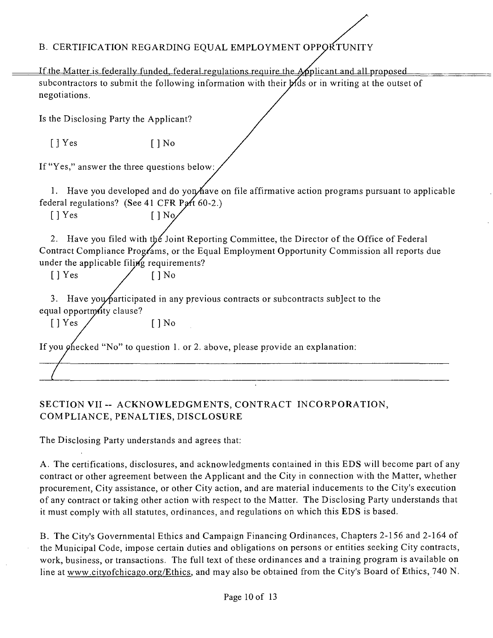### B. CERTIFICATION REGARDING EQUAL EMPLOYMENT OPPORTUNITY

If the Matter is federally funded, federal regulations require the Applicant and all proposed subcontractors to submit the following information with their  $M$ ds or in writing at the outset of negotiations.

Is the Disclosing Party the Applicant?

 $\begin{bmatrix} \end{bmatrix}$  Yes  $\begin{bmatrix} \end{bmatrix}$  No

If "Yes," answer the three questions below:

1. Have you developed and do yon/have on file affirmative action programs pursuant to applicable federal regulations? (See 41 CFR Part  $60-2$ .)

 $[ ]$  Yes  $[ ]$  No.

2. Have you filed with the Joint Reporting Committee, the Director of the Office of Federal Contract Compliance Prog/ams, or the Equal Employment Opportunity Commission all reports due under the applicable filing requirements?

 $[$  | Yes / [ | No

3. Have you participated in any previous contracts or subcontracts subject to the equal opportmity clause?

 $[$  ] Yes  $/$  [] No

If you  $\varphi$  fiecked "No" to question 1. or 2. above, please provide an explanation:

### **SECTION VII - ACKNOWLEDGMENTS, CONTRACT INCORPORATION, COMPLIANCE, PENALTIES, DISCLOSURE**

The Disclosing Party understands and agrees that:

A. The certifications, disclosures, and acknowledgments coniained in this EDS will become part of any contract or other agreement between the Applicant and the City in connection with the Matter, whether procurement. City assistance, or other City action, and are material inducements to the City's execution of any contract or taking other action with respect to the Matter. The Disclosing Party understands that it must comply with all statutes, ordinances, and regulations on which this EDS is based.

B. The City's Governmental Ethics and Campaign Financing Ordinances, Chapters 2-156 and 2-164 of the Municipal Code, impose certain duties and obligations on persons or entities seeking City contracts, work, business, or transactions. The full text of these ordinances and a training program is available on line at www.cityofchicago.org/Ethics, and may also be obtained from the City's Board of Ethics, 740 N.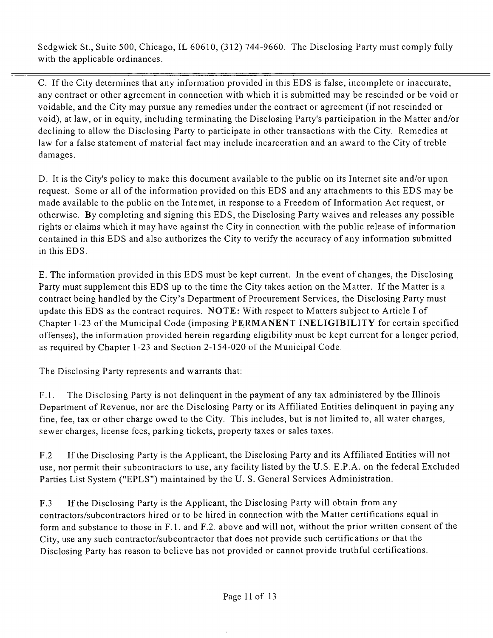Sedgwick St., Suite 500, Chicago, IL 60610, (312) 744-9660. The Disclosing Party must comply fully with the applicable ordinances.

C. If the City determines that any information provided in this EDS is false, incomplete or inaccurate, any contract or other agreement in connection with which it is submitted may be rescinded or be void or voidable, and the City may pursue any remedies under the contract or agreement (if not rescinded or void), at law, or in equity, including terminating the Disclosing Party's participation in the Matter and/or declining to allow the Disclosing Party to participate in other transactions with the City. Remedies at law for a false statement of material fact may include incarceration and an award to the City of treble damages.

D. It is the City's policy to make this document available to the public on its Internet site and/or upon request. Some or all of the information provided on this EDS and any attachments to this EDS may be made available to the public on the Intemet, in response to a Freedom of Information Act request, or otherwise. By completing and signing this EDS, the Disclosing Party waives and releases any possible rights or claims which it may have against the City in connection with the public release of information contained in this EDS and also authorizes the City to verify the accuracy of any information submitted in this EDS.

E. The information provided in this EDS must be kept current. In the event of changes, the Disclosing Party must supplement this EDS up to the time the City takes action on the Matter. If the Matter is a contract being handled by the City's Department of Procurement Services, the Disclosing Party must update this EDS as the contract requires. NOTE: With respect to Matters subject to Article I of Chapter 1-23 of the Municipal Code (imposing PERMANENT INELIGIBILITY for certain specified offenses), the information provided herein regarding eligibility must be kept current for a longer period, as required by Chapter 1-23 and Section 2-154-020 of the Municipal Code.

The Disclosing Party represents and warrants that:

F.1. The Disclosing Party is not delinquent in the payment of any tax administered by the Illinois Department of Revenue, nor are the Disclosing Party or its Affiliated Entities delinquent in paying any fine, fee, tax or other charge owed to the City. This includes, but is not limited to, all water charges, sewer charges, license fees, parking tickets, property taxes or sales taxes.

F.2 If the Disclosing Party is the Applicant, the Disclosing Party and its Affiliated Entities will not use, nor permit their subcontractors to use, any facility listed by the U.S. E.P.A. on the federal Excluded Parties List System ("EPLS") maintained by the U. S. General Services Administration.

F.3 If the Disclosing Party is the Applicant, the Disclosing Party will obtain from any contractors/subcontractors hired or to be hired in connection with the Matter certifications equal in form and substance to those in F. 1. and F.2. above and will not, without the prior written consent of the City, use any such contractor/subcontractor that does not provide such certifications or that the Disclosing Party has reason to believe has not provided or cannot provide truthful certifications.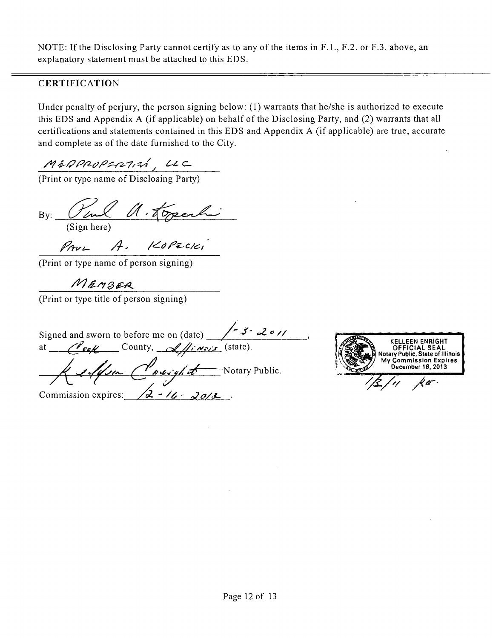NOTE: If the Disclosing Party cannot certify as to any of the items in F.l. , F.2. or F.3. above, an explanatory statement must be attached to this EDS.

### **CERTIFICATION**

Under penalty of perjury, the person signing below:  $(1)$  warrants that he/she is authorized to execute this EDS and Appendix A (if applicable) on behalf of the Disclosing Party, and (2) warrants that all certifications and statements contained in this EDS and Appendix A (if applicable) are true, accurate and complete as of the date furnished to the City.

 $M$ &DPROPSR1,  $44$ 

(Print or type name of Disclosing Party)

 $By:$  U can  $U \cdot 4$  open that (Sign here)

*A' /<^0/^^c/<c,'* 

(Print or type name of person signing)

MEMBER

(Print or type title of person signing)

Signed and sworn to before me on (date) at  $\ell$   $\epsilon \ll \ell$  County,  $\ell$   $\ell$   $\ell$   $\ell$   $\ell$   $\ell$  (state). Keeffer Charight Notary Public. Commission expires:  $\sqrt{2} - 16 - 20/3$ 

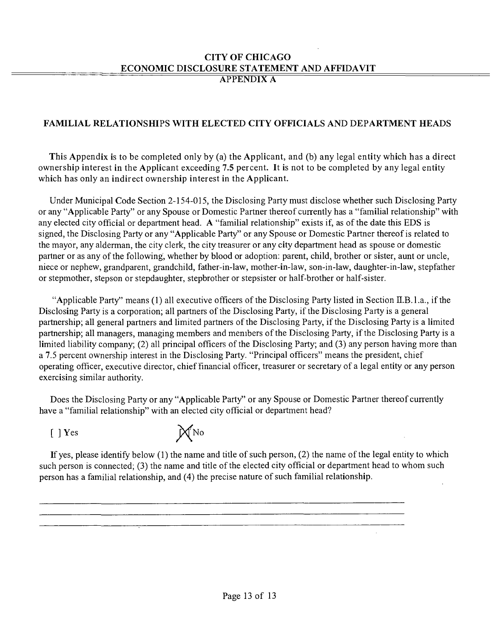#### **CITY OF CHICAGO ECONOMIC DISCLOSURE STATEMENT AND AFFIDAVIT APPENDIX A**

### **FAMILIAL RELATIONSHIPS WITH ELECTED CITY OFFICIALS AND DEPARTMENT HEADS**

**This Appendix is to be completed only by (a) the Applicant, and (b) any legal entity which has a direct ownership interest in the Applicant exceeding 7.5 percent. It is not to be completed by any legal entity which has only an indirect ownership interest in the Applicant.** 

Under Municipal Code Section 2-154-015, the Disclosing Party must disclose whether such Disclosing Party or any "Applicable Party" or any Spouse or Domestic Partner thereof cunently has a "familial relationship" with any elected city official or department head. A "familial relationship" exists if, as of the date this EDS is signed, the Disclosing Party or any "Applicable Party" or any Spouse or Domestic Partner thereof is related to the mayor, any alderman, the city clerk, the city treasurer or any city department head as spouse or domestic partner or as any of the following, whether by blood or adoption: parent, child, brother or sister, aunt or uncle, niece or nephew, grandparent, grandchild, father-in-law, mother-in-law, son-in-law, daughter-in-law, stepfather or stepmother, stepson or stepdaughter, stepbrother or stepsister or half-brother or half-sister.

"Applicable Party" means (1) all executive officers of the Disclosing Party listed in Section H.B.l.a., if the Disclosing Party is a corporation; all partners of the Disclosing Party, if the Disclosing Party is a general partnership; all general partners and limited partners of the Disclosing Party, if the Disclosing Party is a limited partnership; all managers, managing members and menibers of the Disclosing Party, if the Disclosing Party is a limited liability company; (2) all principal officers of the Disclosing Party; and (3) any person having more than a 7.5 percent ownership interest in the Disclosing Party. "Principal officers" means the president, chief operating officer, executive director, chief financial officer, treasurer or secretary of a legal entity or any person exercising similar authority.

Does the Disclosing Party or any "Applicable Party" or any Spouse or Domestic Partner thereof currently have a "familial relationship" with an elected city official or department head?



If yes, please identify below (1) the name and title of such person, (2) the name of the legal entity to which such person is connected; (3) the name and title of the elected city official or department head to whom such person has a familial relationship, and (4) the precise nature of such familial relationship.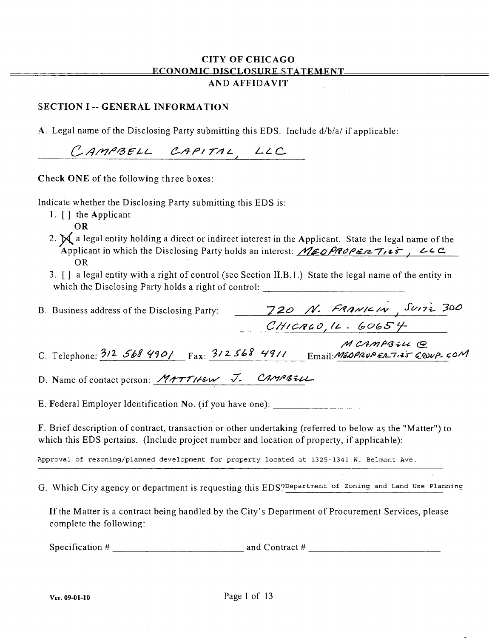#### CITY OF CHICAGO ECONOMIC DISCLOSURE STATEMENT **AND AFFIDAVIT**

#### SECTION I -- GENERAL INFORMATION

A. Legal name of the Disclosing Party submitting this EDS. Include d/b/a/ if applicable:

CAMPBELL CAPITAL, LLC

Check ONE of the following three boxes:

Indicate whether the Disclosing Party submitting this EDS is:

- 1. [ ] the Applicant
	- OR
- 2.  $\boldsymbol{\bowtie}$  a legal entity holding a direct or indirect interest in the Applicant. State the legal name of the *Applicant in which the Disclosing Party holds an interest: <i>MEOPROPERTies*, *446* OR
- 3. [] a legal entity with a right of control (see Section II.B.l.) State the legal name of the entity in which the Disclosing Party holds a right of control:

| B. Business address of the Disclosing Party: | 720 N. FRANICIN SUITZ 300 |
|----------------------------------------------|---------------------------|
|                                              | CHICACO, 12.60654         |
|                                              | MCAMPBILL @               |

|                                                  | $\sim$ $\sim$ $\sim$ $\sim$ $\sim$ $\sim$ |
|--------------------------------------------------|-------------------------------------------|
| C. Telephone: $3/2$ 568 990/ Fax: $3/2$ 568 4911 | $Email$ : MEDPRUPERTIES GROUP COM         |

D. Name of contact person: *MATTHEW J. CAMPBELL* 

E. Federal Employer Identification No. (if you have one):

F. Brief description of contract, transaction or other undertaking (referred to below as the "Matter") to which this EDS pertains. (Include project number and location of property, if applicable):

Approval of rezoning/planned development for property located at 1325-1341 W. Belmont Ave.

G. Which City agency or department is requesting this EDS? Department of Zoning and Land Use Planning

If the Matter is a contract being handled by the City's Department of Procurement Services, please complete the following:

Specification # and Contract #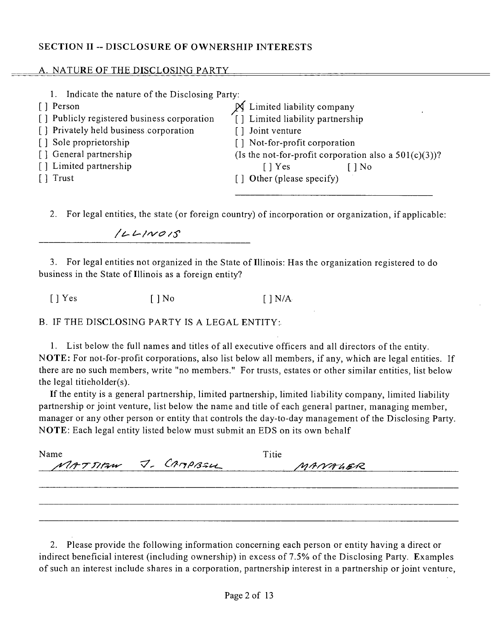#### **SECTION II - DISCLOSURE OF OWNERSHIP INTERESTS**

#### <u>A. NATURE OF THE DISCLOSING PARTY</u>

| Indicate the nature of the Disclosing Party: |                                                          |
|----------------------------------------------|----------------------------------------------------------|
| [ ] Person                                   | Limited liability company                                |
| [] Publicly registered business corporation  | [] Limited liability partnership                         |
| [] Privately held business corporation       | [] Joint venture                                         |
| [] Sole proprietorship                       | [] Not-for-profit corporation                            |
| [] General partnership                       | (Is the not-for-profit corporation also a $501(c)(3)$ )? |
| [] Limited partnership                       | I l Yes<br>[ ] No                                        |
| Trust                                        | [] Other (please specify)                                |
|                                              |                                                          |

*2. For legal entities, the state (or foreign country) of incorporation or organization, ifapplicable:* 

*//:u C^/^Cf /S* 

3. For legal entities not organized in the State of Illinois: Has the organization registered to do business in the State of Illinois as a foreign entity?

[ ] Yes [ ] No [ ] N/A

B. IF THE DISCLOSING PARTY IS A LEGAL ENTITY:

1. List below the full names and titles of all executive officers and all directors of the entity. NOTE: For not-for-profit corporations, also list below all members, if any, which are legal entities. If there are no such members, write "no members." For trusts, estates or other similar entities, list below the legal titieholder(s).

If the entity is a general partnership, limited partnership, limited liability company, limited liability partnership or joint venture, list below the name and title of each general partner, managing member, manager or any other person or entity that controls the day-to-day management of the Disclosing Party. NOTE: Each legal entity listed below must submit an EDS on its own behalf

| Name |                     | Titie   |  |
|------|---------------------|---------|--|
|      | MATTIAN J. CAMPBALL | MANALER |  |
|      |                     |         |  |
|      |                     |         |  |
|      |                     |         |  |
|      |                     |         |  |

2. Please provide the following information concerning each person or entity having a direct or indirect beneficial interest (including ownership) in excess of 7.5% of the Disclosing Party. Examples of such an interest include shares in a corporation, partnership interest in a partnership or joint venture.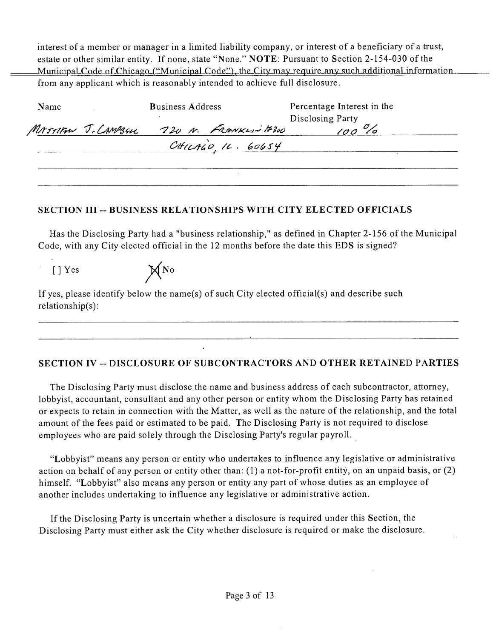interest of a member or manager in a limited liability company, or interest of a beneficiary of a trust, estate or other similar entity. If none, state "None." NOTE: Pursuant to Section 2-154-030 of the Municipal Code of Chicago ("Municipal Code"), the City may require any such additional information. from any applicant which is reasonably intended to achieve full disclosure.

| Name | <b>Business Address</b> |  | Percentage Interest in the              |                  |  |
|------|-------------------------|--|-----------------------------------------|------------------|--|
|      |                         |  |                                         | Disclosing Party |  |
|      |                         |  | MATTIAN J. CAMPSSU 720 N. FRANKLIN #300 |                  |  |
|      |                         |  | CHUAGO, 11.60654                        |                  |  |
|      |                         |  |                                         |                  |  |
|      |                         |  |                                         |                  |  |

#### **SECTION III - BUSINESS RELATIONSHIPS WITH CITY ELECTED OFFICIALS**

Has the Disclosing Party had a "business relationship," as defined in Chapter 2-156 of the Municipal Code, with any City elected official in the 12 months before the date this EDS is signed?

 $[ ]$  Yes  $\mathbb{X}^{\mathbb{N}^{\mathbb{N}}}$ If yes, please identify below the name(s) of such City elected official(s) and describe such relationship(s):

### **SECTION IV - DISCLOSURE OF SUBCONTRACTORS AND OTHER RETAINED PARTIES**

The Disclosing Party must disclose the name and business address of each subcontractor, attorney, lobbyist, accountant, consultant and any other person or entity whom the Disclosing Party has retained or expects to retain in connection with the Matter, as well as the nature of the relationship, and the total amount of the fees paid or estimated to be paid. The Disclosing Party is not required to disclose employees who are paid solely through the Disclosing Party's regular payroll.

"Lobbyist" means any person or entity who undertakes to influence any legislative or administrative action on behalf of any person or entity other than: (I) a not-for-profit entity, on an unpaid basis, or (2) himself. "Lobbyist" also means any person or entity any part of whose duties as an employee of another includes undertaking to influence any legislative or administrative action.

If the Disclosing Party is uncertain whether a disclosure is required under this Section, the Disclosing Party must either ask the City whether disclosure is required or make the disclosure.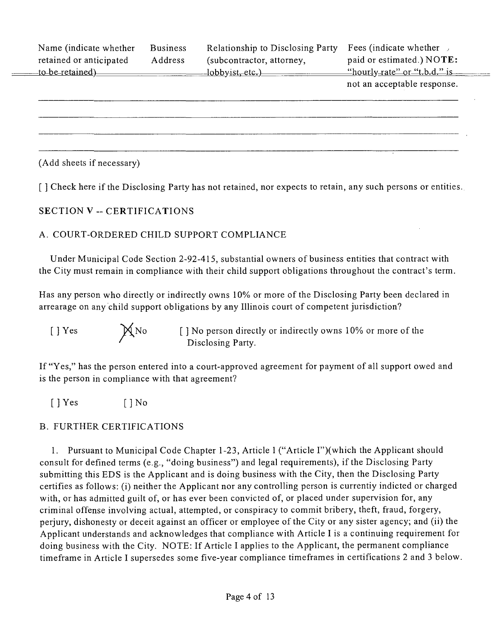| Name (indicate whether<br>retained or anticipated<br>to-be-retained) | <b>Business</b><br>Address | Relationship to Disclosing Party<br>(subcontractor, attorney,<br>lobbyist, etc.) | <b>Fees</b> (indicate whether<br>paid or estimated.) NOTE:<br>"hourly-rate" or "t-b-d," is |
|----------------------------------------------------------------------|----------------------------|----------------------------------------------------------------------------------|--------------------------------------------------------------------------------------------|
|                                                                      |                            |                                                                                  | not an acceptable response.                                                                |
|                                                                      |                            |                                                                                  |                                                                                            |
|                                                                      |                            |                                                                                  |                                                                                            |
|                                                                      |                            |                                                                                  |                                                                                            |
|                                                                      |                            |                                                                                  |                                                                                            |

(Add sheets if necessary)

**[ ] Check here if the Disclosing Party has not retained, nor expects to retain, any such persons or entities.** 

### **SECTION V - CERTIFICATIONS**

### A. COURT-ORDERED CHILD SUPPORT COMPLIANCE

Under Municipal Code Section 2-92-415, substantial owners of business entities that contract with the City must remain in compliance with their child support obligations throughout the contract's term.

Has any person who directly or indirectly owns 10%) or more of the Disclosing Party been declared in arrearage on any child support obligations by any Illinois court of competent jurisdiction?

[ ] Yes  $\mathbb{X}$ No [ ] No person directly or indirectly owns 10% or more of the Disclosing Party.

If "Yes," has the person entered into a court-approved agreement for payment of all support owed and is the person in compliance with that agreement?

 $[$  | Yes  $[$  | No

### B. FURTHER CERTIFICATIONS

1. Pursuant to Municipal Code Chapter 1-23, Article 1 ("Article I")(which the Applicant should consult for defined terms (e.g., "doing business") and legal requirements), if the Disclosing Party submitting this EDS is the Applicant and is doing business with the City, then the Disclosing Party certifies as follows: (i) neither the Applicant nor any controlling person is currentiy indicted or charged with, or has admitted guilt of, or has ever been convicted of, or placed under supervision for, any criminal offense involving actual, attempted, or conspiracy to commit bribery, theft, fraud, forgery, perjury, dishonesty or deceit against an officer or employee ofthe City or any sister agency; and (ii) the Applicant understands and acknowledges that compliance with Article I is a continuing requirement for doing business with the City. NOTE: If Article I applies to the Applicant, the permanent compliance timeframe in Article I supersedes some five-year compliance timeframes in certifications 2 and 3 below.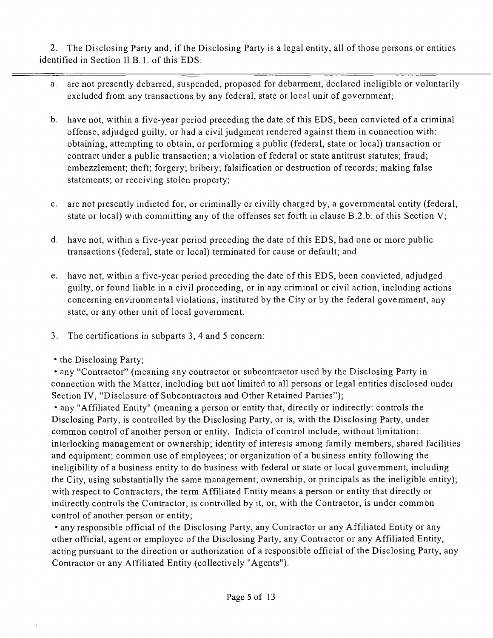2. The Disclosing Party and, if the Disclosing Party is a legal entity, all of those persons or entities identified in Section II.B.1. of this EDS:

- a. are not presently debarred, suspended, proposed for debarment, declared ineligible or voluntarily excluded from any transactions by any federal, state or local unit of government;
- b. have not, within a five-year period preceding the date of this EDS, been convicted of a criminal offense, adjudged guilty, or had a civil judgment rendered against them in connection with: obtaining, attempting to obtain, or performing a public (federal, state or local) transaction or contract under a public transaction; a violation of federal or state antitrust statutes; fraud; embezzlement; theft; forgery; bribery; falsification or destruction of records; making false statements; or receiving stolen property;
- c. are not presently indicted for, or criminally or civilly charged by, a governmental entity (federal, state or local) with committing any of the offenses set forth in clause B.2.b. of this Section V;
- d. have not, within a five-year period preceding the date of this EDS, had one or more public transactions (federal, state or local) terminated for cause or default; and
- e. have not, within a five-year period preceding the date ofthis EDS, been convicted, adjudged guilty, or found liable in a civil proceeding, or in any criminal or civil action, including actions concerning environmental violations, instituted by the City or by the federal govemment, any state, or any other unit of local government.
- 3. The certifications in subparts 3, 4 and 5 concern:
- the Disclosing Party;

• any "Contractor" (meaning any contractor or subcontractor used by the Disclosing Party in connection with the Matter, including but nof limited to all persons or legal entities disclosed under Section IV, "Disclosure of Subcontractors and Other Retained Parties");

• any "Affiliated Entity" (meaning a person or entity that, directly or indirectly: controls the Disclosing Party, is controlled by the Disclosing Party, or is, with the Disclosing Party, under common control of another person or entity. Indicia of control include, without limitation: interlocking management or ownership; identity of interests among family members, shared facilities and equipment; common use of employees; or organization of a business entity following the ineligibility of a business entity to do business with federal or state or local govemment, including the City, using substantially the same management, ownership, or principals as the ineligible entity); with respect to Contractors, the term Affiliated Entity means a person or entity that directly or indirectly controls the Contractor, is controlled by it, or, with the Contractor, is under common control of another person or entity;

• any responsible official of the Disclosing Party, any Contractor or any Affiliated Entity or any other official, agent or employee of the Disclosing Party, any Contractor or any Affiliated Entity, acting pursuant to the direction or authorization of a responsible official of the Disclosing Party, any Contractor or any Affiliated Entity (collectively "Agents").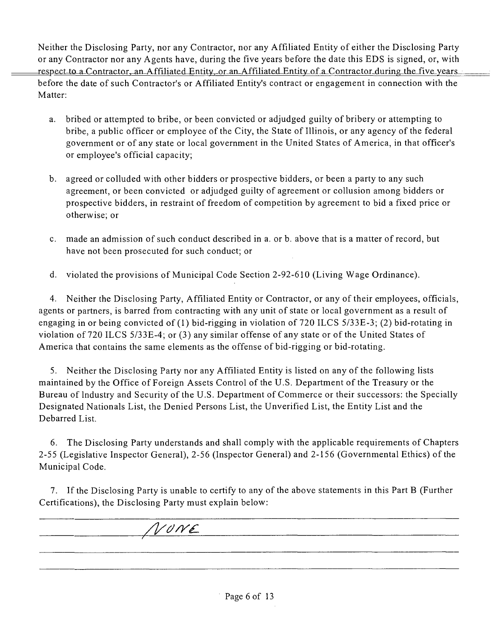Neither the Disclosing Party, nor any Contractor, nor any Affiliated Entity of either the Disclosing Party or any Contractor nor any Agents have, during the five years before the date this EDS is signed, or, with respect to a Contractor, an Affiliated Entity, or an Affiliated Entity of a Contractor during the five years before the date of such Contractor's or Affiliated Entity's contract or engagement in connection with the Matter;

- a. bribed or attempted to bribe, or been convicted or adjudged guilty of bribery or attempting to bribe, a public officer or employee of the City, the State of Illinois, or any agency of the federal government or of any state or local government in the United States of America, in that officer's or employee's official capacity;
- b. agreed or colluded with other bidders or prospective bidders, or been a party to any such agreement, or been convicted or adjudged guilty of agreement or collusion among bidders or prospective bidders, in restraint of freedom of competition by agreement to bid a fixed price or otherwise; or
- c. made an admission of such conduct described in a. or b. above that is a matter of record, but have not been prosecuted for such conduct; or
- d. violated the provisions of Municipal Code Section 2-92-610 (Living Wage Ordinance).

4. Neither the Disclosing Party, Affiliated Entity or Contractor, or any of their employees, officials, agents or partners, is barred from contracting with any unit of state or local government as a result of engaging in or being convicted of (1) bid-rigging in violation of 720 ILCS 5/33E-3; (2) bid-rotating in violation of 720 ILCS 5/33E-4; or (3) any similar offense of any state or of the United States of America that contains the same elements as the offense of bid-rigging or bid-rotating.

5. Neither the Disclosing Party nor any Affiliated Entity is listed on any of the following lists maintained by the Office of Foreign Assets Control of the U.S. Department ofthe Treasury or the Bureau of Industry and Security of the U.S. Department of Commerce or their successors: the Specially Designated Nationals List, the Denied Persons List, the Unverified List, the Entity List and the Debarred List.

6. The Disclosing Party understands and shall comply with the applicable requirements of Chapters 2-55 (Legislative Inspector General), 2-56 (Inspector General) and 2-156 (Governmental Ethics) of the Municipal Code.

7. If the Disclosing Party is unable to certify to any of the above statements in this Part B (Further Certifications), the Disclosing Party must explain below:

**/l//y/y£-**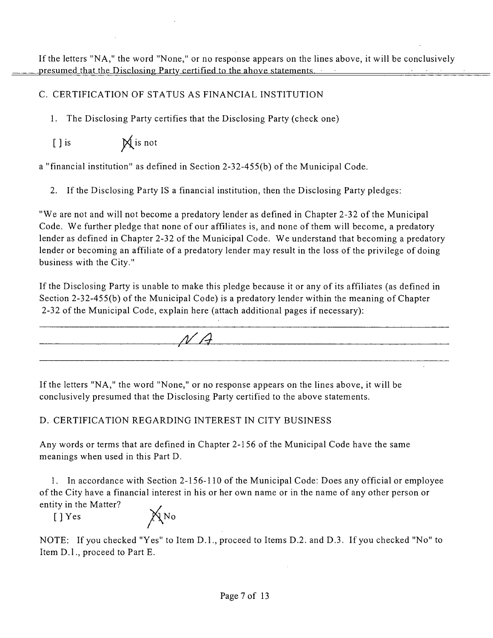## C. CERTIFICATION OF STATUS AS FINANCIAL INSTITUTION

1. The Disclosing Party certifies that the Disclosing Party (check one)

[ ] is  $\mathbb{X}$  is not

a "financial institution" as defined in Section 2-32-455(b) of the Municipal Code.

2. If the Disclosing Party IS a financial institution, then the Disclosing Party pledges:

"We are not and will not become a predatory lender as defined in Chapter 2-32 of the Municipal Code. We further pledge that none of our affiliates is, and none of them will become, a predatory lender as defined in Chapter 2-32 of the Municipal Code. We understand that becoming a predatory lender or becoming an affiliate of a predatory lender may result in the loss of the privilege of doing business with the City."

If the Disclosing Party is unable to make this pledge because it or any of its affiliates (as defined in Section 2-32-455(b) of the Municipal Code) is a predatory lender within the meaning of Chapter 2-32 of the Municipal Code, explain here (attach additional pages if necessary):



If the letters "NA, " the word "None," or no response appears on the lines above, it will be conclusively presumed that the Disclosing Party certified to the above statements.

# D. CERTIFICATION REGARDING INTEREST IN CITY BUSINESS

Any words or terms that are defined in Chapter 2-156 of the Municipal Code have the same meanings when used in this Part D.

*1. In accordance with Section 2-156-110 of the Municipal Code: Does any official or employee ofthe City have a financial interest in his or her own name or in the name of any other person or entity in the Matter? .* 

 $[$  ] Yes  $\mathbb{X}^N$  No

NOTE: If you checked "Yes" to Item D.l. , proceed to Items D.2. and D.3. If you checked "No" to Item D.l. , proceed to Part E.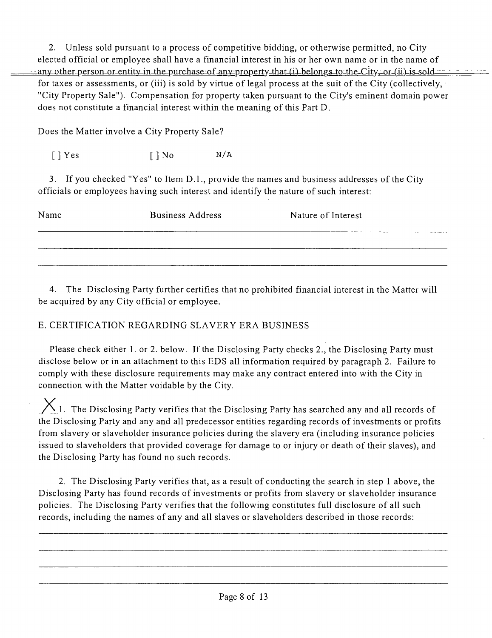2. Unless sold pursuant to a process of competitive bidding, or otherwise permitted, no City elected official or employee shall have a financial interest in his or her own name or in the name of any other person or entity in the purchase of any property that (i) belongs to the City, or (ii) is sold  $\cdots$ for taxes or assessments, or (iii) is sold by virtue of legal process at the suit of the City (collectively,  $\cdot$ "City Property Sale"). Compensation for property taken pursuant to the City's eminent domain power does not constitute a financial interest within the meaning of this Part D.

Does the Matter involve a City Property Sale?

 $[ ]$  Yes  $[ ]$  No  $N/A$ 

3. If you checked "Yes" to Item D.1., provide the names and business addresses of the City officials or employees having such interest and identify the nature of such interest;

| Name | <b>Business Address</b> | Nature of Interest |
|------|-------------------------|--------------------|
|      |                         |                    |
|      |                         |                    |

4. The Disclosing Party further certifies that no prohibited financial interest in the Matter will be acquired by any City official or employee.

### E. CERTIFICATION REGARDING SLAVERY ERA BUSINESS

Please check either 1. or 2. below. If the Disclosing Party checks 2., the Disclosing Party must disclose below or in an attachment to this EDS all information required by paragraph 2. Failure to comply with these disclosure requirements may make any contract entered into with the City in connection with the Matter voidable by the City.

 $X$ 1. The Disclosing Party verifies that the Disclosing Party has searched any and all records of the Disclosing Party and any and all predecessor entities regarding records of investments or profits from slavery or slaveholder insurance policies during the slavery era (including insurance policies issued to slaveholders that provided coverage for damage to or injury or death of their slaves), and the Disclosing Party has found no such records.

2. The Disclosing Party verifies that, as a result of conducting the search in step 1 above, the Disclosing Party has found records of investments or profits from slavery or slaveholder insurance policies. The Disclosing Party verifies that the following constitutes full disclosure of all such records, including the names of any and all slaves or slaveholders described in those records: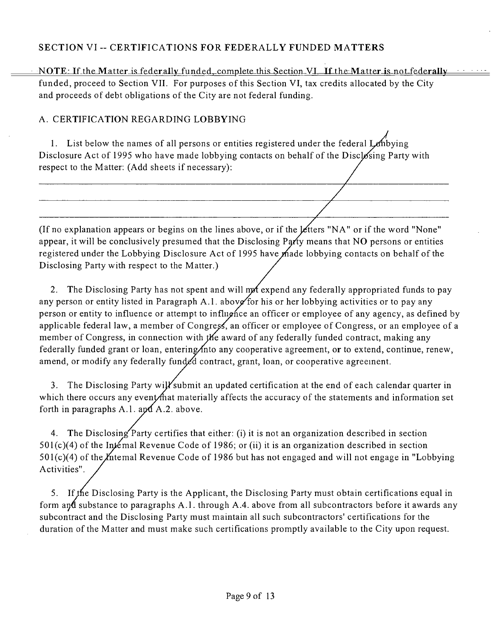### **SECTION VI - CERTIFICATIONS FOR FEDERALLY FUNDED MATTERS**

NOTE: If the Matter is federally funded, complete this Section VI. If the Matter is not federally funded, proceed to Section VII. For purposes of this Section VI, tax credits allocated by the City and proceeds of debt obligations of the City are not federal funding.

### A. CERTIFICATION REGARDING LOBBYING

1. List below the names of all persons or entities registered under the federal Lembying Disclosure Act of 1995 who have made lobbying contacts on behalf of the Disclosing Party with respect to the Matter: (Add sheets if necessary):

(If no explanation appears or begins on the lines above, or if the  $\not$  ters "NA" or if the word "None" appear, it will be conclusively presumed that the Disclosing Party means that NO persons or entities registered under the Lobbying Disclosure Act of 1995 have made lobbying contacts on behalf of the Disclosing Party with respect to the Matter.)

2. The Disclosing Party has not spent and will mot expend any federally appropriated funds to pay any person or entity listed in Paragraph A.1. above for his or her lobbying activities or to pay any person or entity to influence or attempt to influence an officer or employee of any agency, as defined by applicable federal law, a member of Congress, an officer or employee of Congress, or an employee of a member of Congress, in connection with the award of any federally funded contract, making any federally funded grant or loan, entering/into any cooperative agreement, or to extend, continue, renew, amend, or modify any federally funded contract, grant, loan, or cooperative agreement.

3. The Disclosing Party will submit an updated certification at the end of each calendar quarter in which there occurs any event materially affects the accuracy of the statements and information set forth in paragraphs A.1. apd  $A.2$ . above.

4. The Disclosing Party certifies that either: (i) it is not an organization described in section  $501(c)(4)$  of the Internal Revenue Code of 1986; or (ii) it is an organization described in section  $501(c)(4)$  of the *I*ntemal Revenue Code of 1986 but has not engaged and will not engage in "Lobbying" Activities".

5. If the Disclosing Party is the Applicant, the Disclosing Party must obtain certifications equal in form an**d** substance to paragraphs A.1. through A.4. above from all subcontractors before it awards any subcontract and the Disclosing Party must maintain all such subcontractors' certifications for the duration ofthe Matter and must make such certifications promptly available to the City upon request.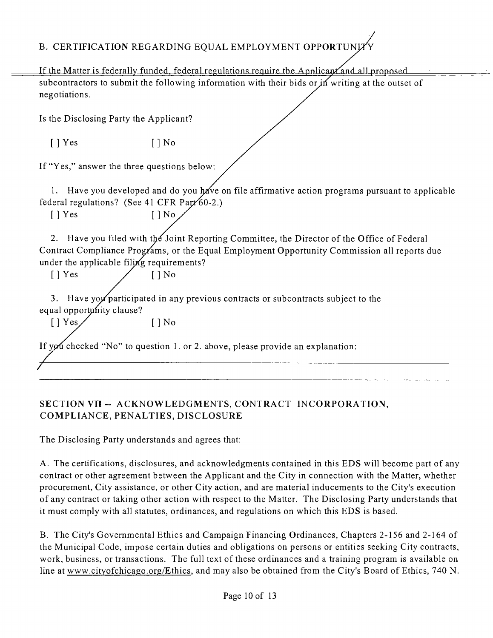# B. CERTIFICATION REGARDING EQUAL EMPLOYMENT OPPORTUNI

If the Matter is federally funded, federal regulations require the Applican and all proposed subcontractors to submit the following information with their bids or in writing at the outset of negotiations.

Is the Disclosing Party the Applicant?

 $[$  | Yes  $[$  | No

If "Yes," answer the three questions below;

*1. Have you developed and do you have on file affirmative action programs pursuant to applicable federal regulations?* (See 41 CFR Part 60-2.)

[ ] Yes [ ] No

2. Have you filed with the Joint Reporting Committee, the Director of the Office of Federal Contract Compliance Programs, or the Equal Employment Opportunity Commission all reports due under the applicable filing requirements?

 $[$  | Yes / [ | No

3. Have yoy participated in any previous contracts or subcontracts subject to the equal opportunity clause?

 $[$   $]$  Yes /  $[$   $]$  No

If you checked "No" to question I. or 2. above, please provide an explanation:

### **SECTION VH ~ ACKNOWLEDGMENTS, CONTRACT INCORPORATION, COMPLIANCE, PENALTIES, DISCLOSURE**

The Disclosing Party understands and agrees that;

A. The certifications, disclosures, and acknowledgments contained in this EDS will become part of any contract or other agreement between the Applicant and the City in connection with the Matter, whether procurement. City assistance, or other City action, and are material inducements to the City's execution of any contract or taking other action with respect to the Matter. The Disclosing Party understands that it must comply with all statutes, ordinances, and regulations on which this EDS is based.

B. The City's Governmental Ethics and Campaign Financing Ordinances, Chapters 2-156 and 2-164 of the Municipal Code, impose certain duties and obligations on persons or entities seeking City contracts, work, business, or transactions. The full text of these ordinances and a training program is available on line at www.cityofchicago.org/Ethics, and may also be obtained from the City's Board of Ethics, 740 N.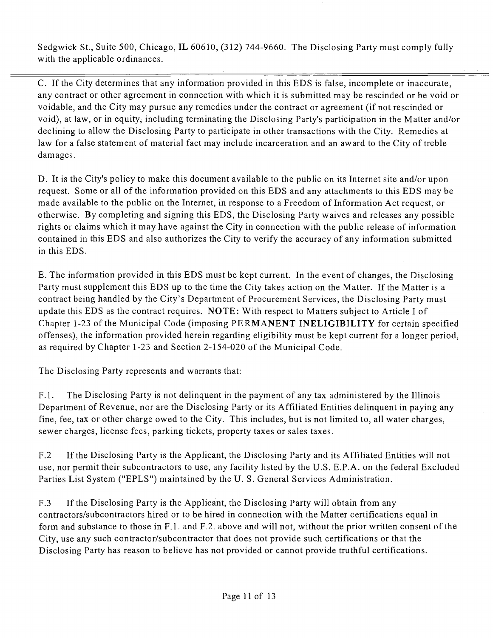Sedgwick St., Suite 500, Chicago, IL 60610, (312) 744-9660. The Disclosing Party must comply fully with the applicable ordinances.

C. If the City determines that any information provided in this EDS is false, incomplete or inaccurate, any contract or other agreement in connection with which it is submitted may be rescinded or be void or voidable, and the City may pursue any remedies under the contract or agreement (if not rescinded or void), at law, or in equity, including terminating the Disclosing Party's participation in the Matter and/or declining to allow the Disclosing Party to participate in other transactions with the City. Remedies at law for a false statement of material fact may include incarceration and an award to the City of treble damages.

D. It is the City's policy to make this document available to the public on its Internet site and/or upon request. Some or all of the information provided on this EDS and any attachments to this EDS may be made available to the public on the Internet, in response to a Freedom of Information Act request, or otherwise. By completing and signing this EDS, the Disclosing Party waives and releases any possible rights or claims which it may have against the City in connection with the public release of information contained in this EDS and also authorizes the City to verify the accuracy of any information submitted in this EDS.

E. The information provided in this EDS must be kept cunent. In the event of changes, the Disclosing Party must supplement this EDS up to the time the City takes action on the Matter. If the Matter is a contract being handled by the City's Department of Procurement Services, the Disclosing Party must update this EDS as the contract requires. NOTE: With respect to Matters subject to Article I of Chapter 1-23 of the Municipal Code (imposing PERMANENT INELIGIBILITY for certain specified offenses), the information provided herein regarding eligibility must be kept current for a longer period, as required by Chapter 1-23 and Section 2-154-020 of the Municipal Code.

The Disclosing Party represents and warrants that:

F.1. The Disclosing Party is not delinquent in the payment of any tax administered by the Illinois Department of Revenue, nor are the Disclosing Party or its Affiliated Entities delinquent in paying any fine, fee, tax or other charge owed to the City. This includes, but is not limited to, all water charges, sewer charges, license fees, parking tickets, property taxes or sales taxes.

F.2 If the Disclosing Party is the Applicant, the Disclosing Party and its Affiliated Entities will not use, nor permit their subcontractors to use, any facility listed by the U.S. E.P.A. on the federal Excluded Parties List System ("EPLS") maintained by the U. S. General Services Administration.

F.3 If the Disclosing Party is the Applicant, the Disclosing Party will obtain from any contractors/subcontractors hired or to be hired in connection with the Matter certifications equal in form and substance to those in F.l . and F.2. above and will not, without the prior written consent of the City, use any such contractor/subcontractor that does not provide such certifications or that the Disclosing Party has reason to believe has not provided or cannot provide truthful certifications.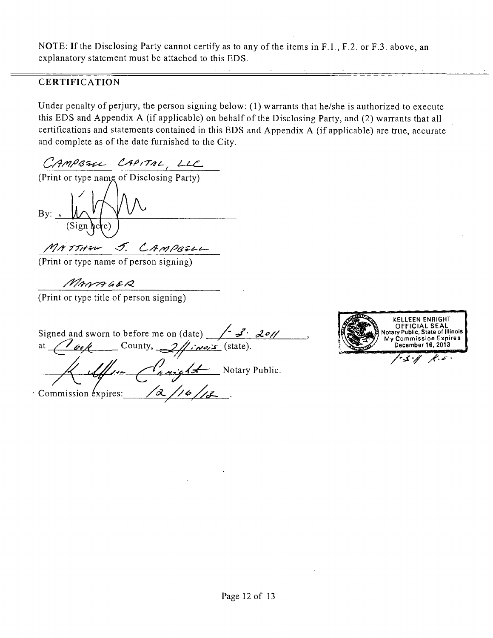NOTE: If the Disclosing Party cannot certify as to any of the items in F.1., F.2. or F.3. above, an explanatory statement must be attached to this EDS.

### **CERTIFICATION**

Under penalty of perjury, the person signing below; (1) warrants that he/she is authorized to execute this EDS and Appendix A (if applicable) on behalf of the Disclosing Party, and (2) warrants that all certifications and statements contained in this EDS and Appendix A (if applicable) are true, accurate and complete as of the date furnished to the City.

CAMPASIL CAPITAL, LLC

(Print or type name of Disclosing Party)

By:

MATTHEW J. CAMPEELL

(Print or type name of person signing)

MANAGER

(Print or type title of person signing)

Signed and sworn to before me on (date)  $\sqrt{2^2 \alpha^2}$ at  $\ell$  ock County,  $2/\ell$  in  $\ell$  (state).  $\sqrt{\frac{1}{4}}$ Commission expires:  $\sqrt{2}/\sqrt{6}/\sqrt{2}$ 

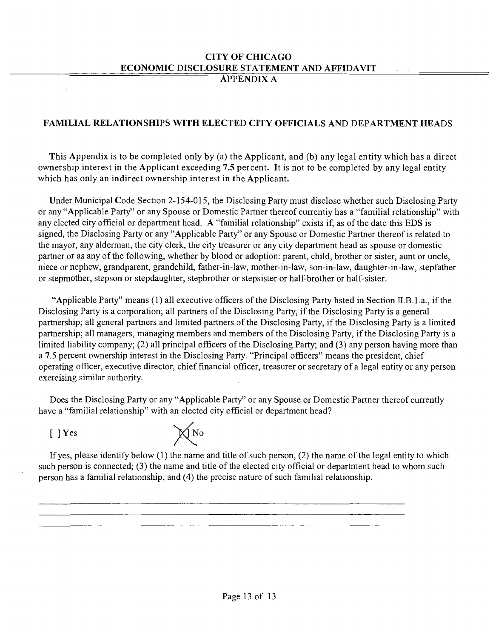#### **CITY OF CHICAGO ECONOMIC DISCLOSURE STATEMENT AND AFFIDAVIT APPENDIX A**

### **FAMILIAL RELATIONSHIPS WITH ELECTED CITY OFFICIALS AND DEPARTMENT HEADS**

**This Appendix is to be completed only by (a) the Applicant, and (b) any legal entity which has a direct ownership interest in the Applicant exceeding 7.5 percent. It is not to be completed by any legal entity which has only an indirect ownership interest in the Applicant.** 

Under Municipal Code Section 2-154-015, the Disclosing Party must disclose whether such Disclosing Party or any "Applicable Party" or any Spouse or Domestic Partner thereof currentiy has a "familial relationship" with any elected city official or department head. A "familial relationship" exists if, as of the date this EDS is signed, the Disclosing Party or any "Applicable Party" or any Spouse or Domestic Partner thereof is related to the mayor, any alderman, the city clerk, the city treasurer or any city department head as spouse or domestic partner or as any of the following, whether by blood or adoption: parent, child, brother or sister, aunt or uncle, niece or nephew, grandparent, grandchild, father-in-law, mother-in-law, son-in-law, daughter-in-law, stepfather or stepmother, stepson or stepdaughter, stepbrother or stepsister or half-brother or half-sister.

"Applicable Party" means  $(1)$  all executive officers of the Disclosing Party hsted in Section II.B.1.a., if the Disclosing Party is a corporation; all partners of the Disclosing Party, if the Disclosing Party is a general partnership; all general partners and limited partners of the Disclosing Party, if the Disclosing Party is a limited partnership; all managers, managing members and members of the Disclosing Party, if the Disclosing Party is a limited liability company; (2) all principal officers of the Disclosing Party; and (3) any person having more than a 7.5 percent ownership interest in the Disclosing Party. "Principal officers" means the president, chief operating officer, executive director, chief financial officer, treasurer or secretary of a legal entity or anyperson exercising similar authority.

Does the Disclosing Party or any "Applicable Party" or any Spouse or Domestic Partner thereof currently have a "familial relationship" with an elected city official or department head?

 $[$  ] Yes



If yes, please identify below  $(1)$  the name and title of such person,  $(2)$  the name of the legal entity to which such person is connected; (3) the name and title of the elected city official or department head to whom such person has a familial relationship, and (4) the precise nature of such familial relationship.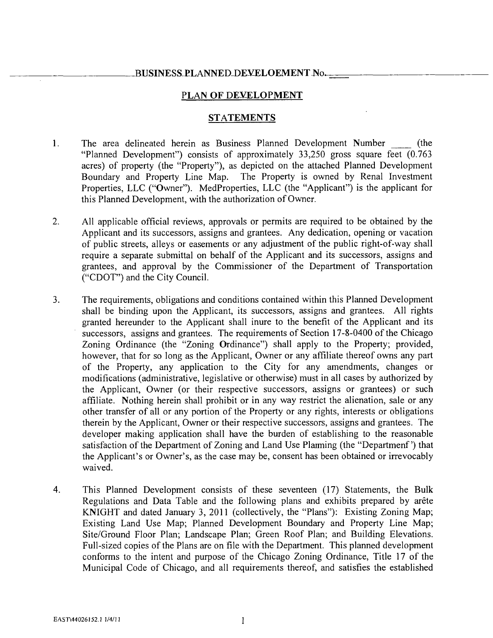#### BUSINESS PLANNED-DEVELOEMENT No.

#### **PLAN OF DEVELOPMENT**

#### **STATEMENTS**

- 1. The area delineated herein as Business Planned Development Number (the "Planned Development") consists of approximately 33,250 gross square feet (0.763 acres) of property (the "Property"), as depicted on the attached Planned Development Boundary and Property Line Map. The Property is owned by Renal Investment Properties, LLC ("Owner"). MedProperties, LLC (the "Applicant") is the applicant for this Planned Development, with the authorization of Owner.
- 2. All applicable official reviews, approvals or permits are required to be obtained by the Applicant and its successors, assigns and grantees. Any dedication, opening or vacation of public streets, alleys or easements or any adjustment of the public right-of-way shall require a separate submittal on behalf of the Applicant and its successors, assigns and grantees, and approval by the Commissioner of the Department of Transportation ("CDOT") and the City Council.
- 3. The requirements, obligations and conditions contained within this Planned Development shall be binding upon the Applicant, its successors, assigns and grantees. All rights granted hereunder to the Applicant shall inure to the benefit of the Applicant and its successors, assigns and grantees. The requirements of Section 17-8-0400 of the Chicago Zoning Ordinance (the "Zoning Ordinance") shall apply to the Property; provided, however, that for so long as the Applicant, Owner or any affiliate thereof owns any part of the Property, any application to the City for any amendments, changes or modifications (administrative, legislative or otherwise) must in all cases by authorized by the Applicant, Owner (or their respective successors, assigns or grantees) or such affiliate. Nothing herein shall prohibit or in any way restrict the alienation, sale or any other transfer of all or any portion of the Property or any rights, interests or obligations therein by the Applicant, Owner or their respective successors, assigns and grantees. The developer making application shall have the burden of establishing to the reasonable satisfaction of the Department of Zoning and Land Use Plarming (the "Departmenf') that the Applicant's or Owner's, as the case may be, consent has been obtained or irrevocably waived.
- 4. This Planned Development consists of these seventeen (17) Statements, the Bulk Regulations and Data Table and the following plans and exhibits prepared by arete KNIGHT and dated January 3, 2011 (collectively, the "Plans"): Existing Zoning Map; Existing Land Use Map; Planned Development Boundary and Property Line Map; Site/Ground Floor Plan; Landscape Plan; Green Roof Plan; and Building Elevations. Full-sized copies of the Plans are on file with the Department. This planned development conforms to the intent and purpose of the Chicago Zoning Ordinance, Title 17 of the Municipal Code of Chicago, and all requirements thereof, and satisfies the established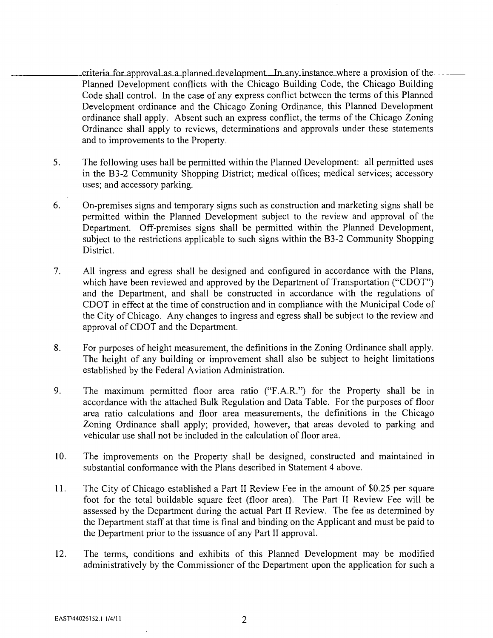criteria-for-approval as a-planned-development. In any instance-where-a-provision of the-Planned Development conflicts with the Chicago Building Code, the Chicago Building Code shall control. In the case of any express conflict between the terms of this Planned Development ordinance and the Chicago Zoning Ordinance, this Planned Development ordinance shall apply. Absent such an express conflict, the terms of the Chicago Zoning Ordinance shall apply to reviews, determinations and approvals under these statements and to improvements to the Property.

- 5. The following uses hall be permitted within the Planned Development: all permitted uses in the B3-2 Community Shopping District; medical offices; medical services; accessory uses; and accessory parking.
- 6. On-premises signs and temporary signs such as construction and marketing signs shall be permitted within the Planned Development subject to the review and approval of the Department. Off-premises signs shall be permitted within the Planned Development, subject to the restrictions applicable to such signs within the B3-2 Community Shopping District.
- 7. All ingress and egress shall be designed and configured in accordance with the Plans, which have been reviewed and approved by the Department of Transportation ("CDOT") and the Department, and shall be constmcted in accordance with the regulations of CDOT in effect at the time of construction and in compliance with the Municipal Code of the City of Chicago. Any changes to ingress and egress shall be subject to the review and approval of CDOT and the Department.
- 8. For purposes of height measurement, the definitions in the Zoning Ordinance shall apply. The height of any building or improvement shall also be subject to height limitations established by the Federal Aviation Administration.
- 9. The maximum permitted floor area ratio ("F.A.R.") for the Property shall be in accordance with the attached Bulk Regulation and Data Table. For the purposes of floor area ratio calculations and floor area measurements, the definitions in the Chicago Zoning Ordinance shall apply; provided, however, that areas devoted to parking and vehicular use shall not be included in the calculation of floor area.
- 10. The improvements on the Property shall be designed, constmcted and maintained in substantial conformance with the Plans described in Statement 4 above.
- 11. The City of Chicago established a Part II Review Fee in the amount of \$0.25 per square foot for the total buildable square feet (floor area). The Part II Review Fee will be assessed by the Department during the actual Part II Review. The fee as determined by the Department staff at that time is final and binding on the Applicant and must be paid to the Department prior to the issuance of any Part II approval.
- 12. The terms, conditions and exhibits of this Planned Development may be modified administratively by the Commissioner of the Department upon the application for such a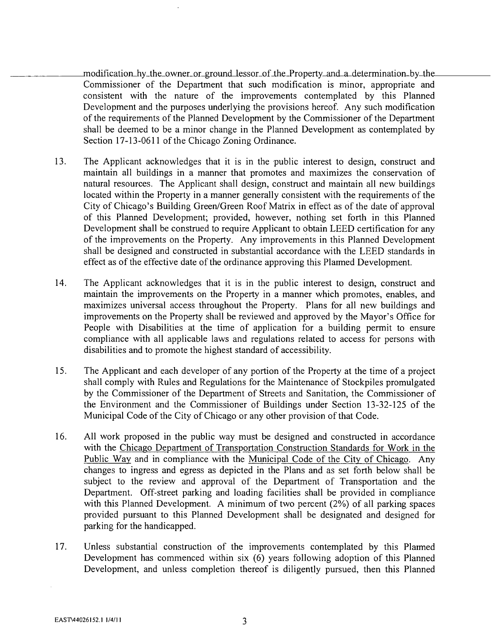modification hy the owner or ground lessor of the Property and a\_delermination by the-Commissioner of the Department that such modification is minor, appropriate and consistent with the nature of the improvements contemplated by this Planned Development and the purposes underlying the provisions hereof. Any such modification of the requirements of the Planned Development by the Commissioner of the Department shall be deemed to be a minor change in the Planned Development as contemplated by Section 17-13-0611 of the Chicago Zoning Ordinance.

- 13. The Applicant acknowledges that it is in the public interest to design, constmct and maintain all buildings in a manner that promotes and maximizes the conservation of natural resources. The Applicant shall design, constmct and maintain all new buildings located within the Property in a manner generally consistent with the requirements of the City of Chicago's Building Green/Green Roof Matrix in effect as of the date of approval of this Planned Development; provided, however, nothing set forth in this Planned Development shall be construed to require Applicant to obtain LEED certification for any of the improvements on the Property. Any improvements in this Planned Development shall be designed and constmcted in substantial accordance with the LEED standards in effect as of the effective date of the ordinance approving this Plarmed Development.
- 14. The Applicant acknowledges that it is in the public interest to design, constmct and maintain the improvements on the Property in a manner which promotes, enables, and maximizes universal access throughout the Property. Plans for all new buildings and improvements on the Property shall be reviewed and approved by the Mayor's Office for People with Disabilities at the time of application for a building permit to ensure compliance with all applicable laws and regulations related to access for persons with disabilities and to promote the highest standard of accessibility.
- 15. The Applicant and each developer of any portion of the Property at the time of a project shall comply with Rules and Regulations for the Maintenance of Stockpiles promulgated by the Commissioner of the Department of Streets and Sanitation, the Commissioner of the Environment and the Commissioner of Buildings under Section 13-32-125 of the Municipal Code of the City of Chicago or any other provision of that Code.
- 16. All work proposed in the public way must be designed and constmcted in accordance with the Chicago Department of Transportation Construction Standards for Work in the Public Way and in compliance with the Municipal Code of the City of Chicago. Any changes to ingress and egress as depicted in the Plans and as sel forth below shall be subject to the review and approval of the Department of Transportation and the Department. Off-street parking and loading facilities shall be provided in compliance with this Planned Development. A minimum of two percent (2%) of all parking spaces provided pursuant to this Planned Development shall be designated and designed for parking for the handicapped.
- 17. Unless substantial construction of the improvements contemplated by this Plarmed Development has commenced within six (6) years following adoption of this Planned Development, and unless completion thereof is diligently pursued, then this Planned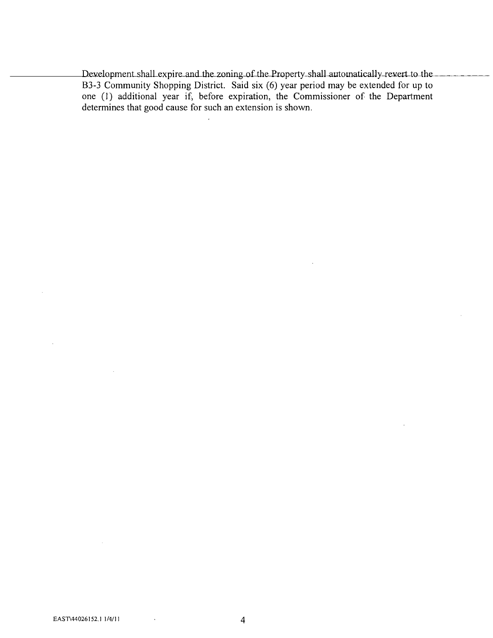Development shall expire and the zoning of the Property-shall automatically-revert to the B3-3 Community Shopping District. Said six (6) year period may be extended for up to one (1) additional year if, before expiration, the Commissioner of the Department determines that good cause for such an extension is shown.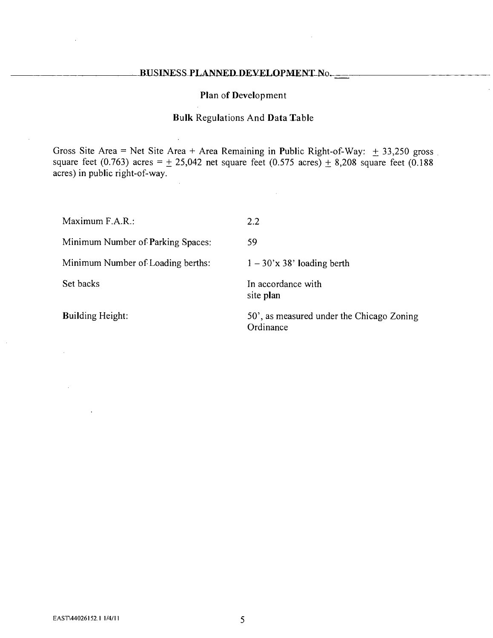### BUSINESS PLANNED DEVELOPMENT No.

#### **Plan of Development**

### **Bulk Regulations And Data Table**

Gross Site Area = Net Site Area + Area Remaining in Public Right-of-Way:  $\pm$  33,250 gross square feet (0.763) acres =  $\pm$  25,042 net square feet (0.575 acres)  $\pm$  8,208 square feet (0.188 acres) in public right-of-way.

| Maximum F.A.R.:                   | 2.2                                                    |
|-----------------------------------|--------------------------------------------------------|
| Minimum Number of Parking Spaces: | 59                                                     |
| Minimum Number of Loading berths: | $1 - 30x$ 38' loading berth                            |
| Set backs                         | In accordance with<br>site plan                        |
| <b>Building Height:</b>           | 50', as measured under the Chicago Zoning<br>Ordinance |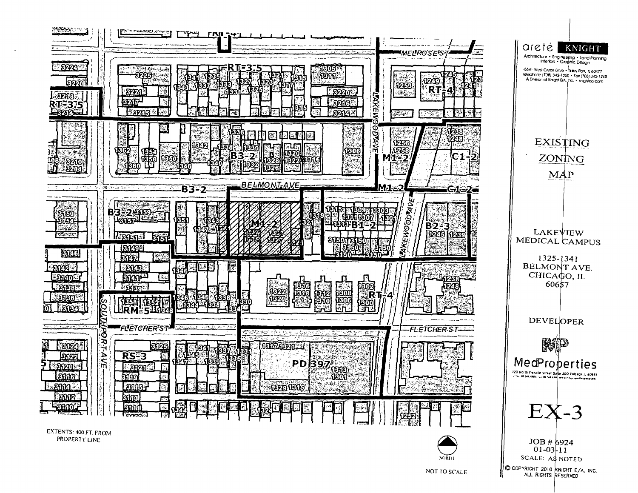

NOT TO SCALE

C COPYRIGHT 2010 KNIGHT E/A. INC. ALL RIGHTS RESERVED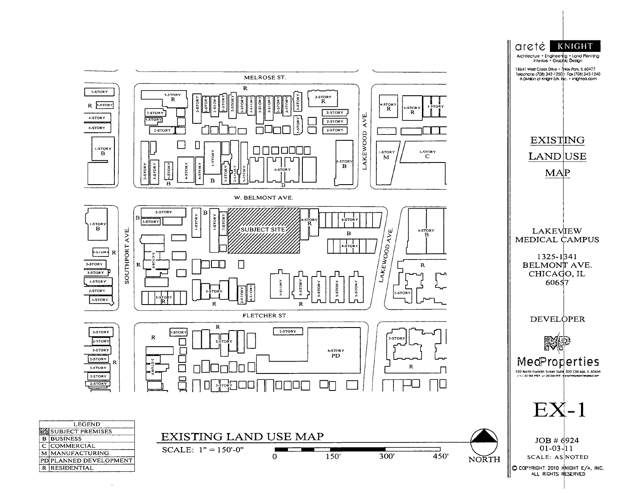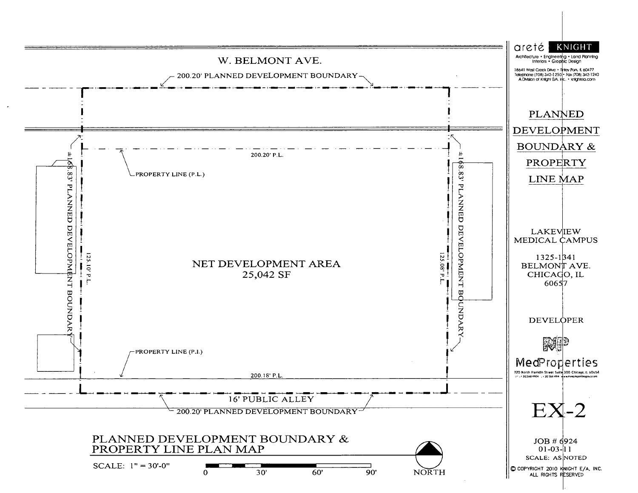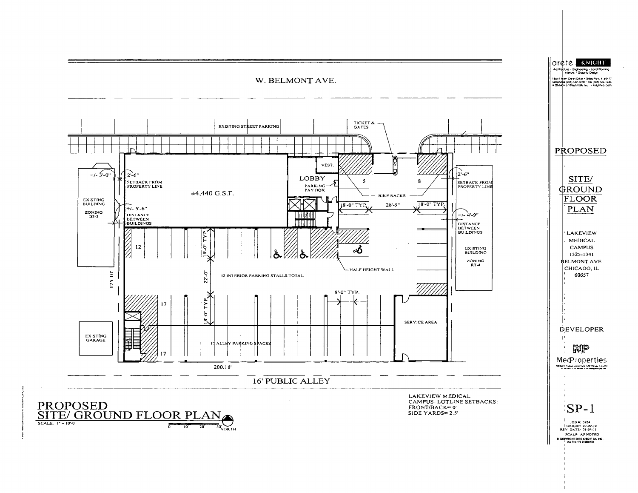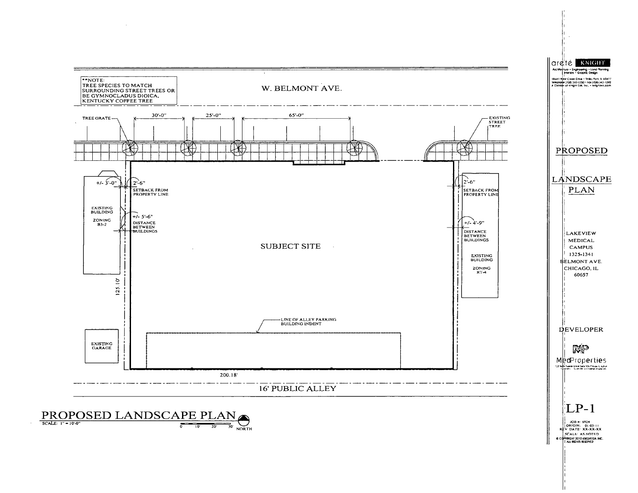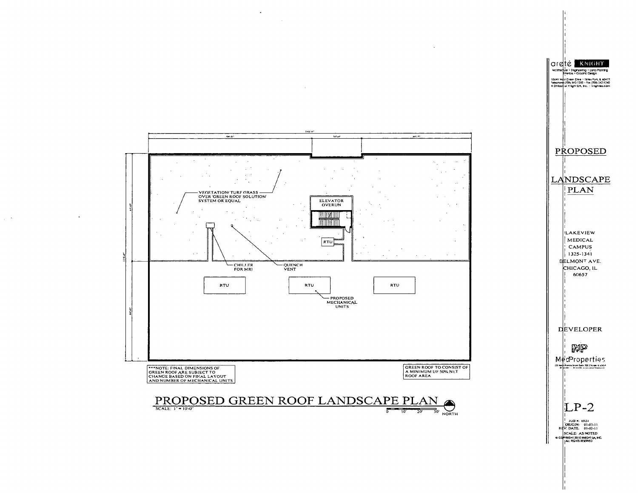

 $\chi \to 0$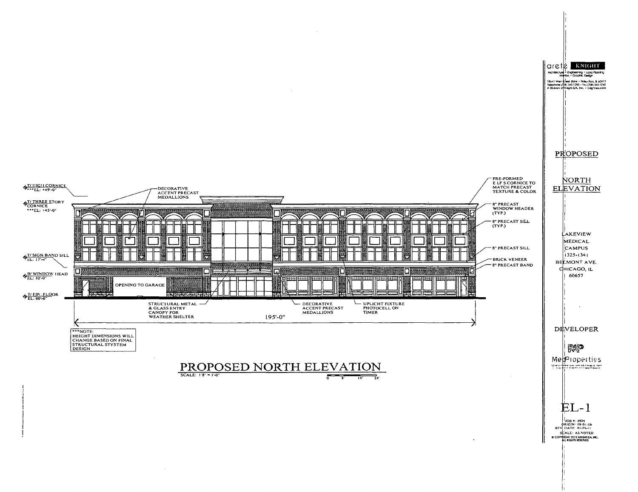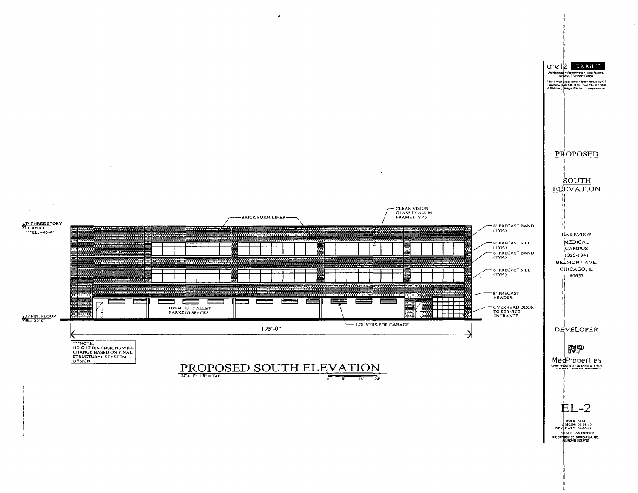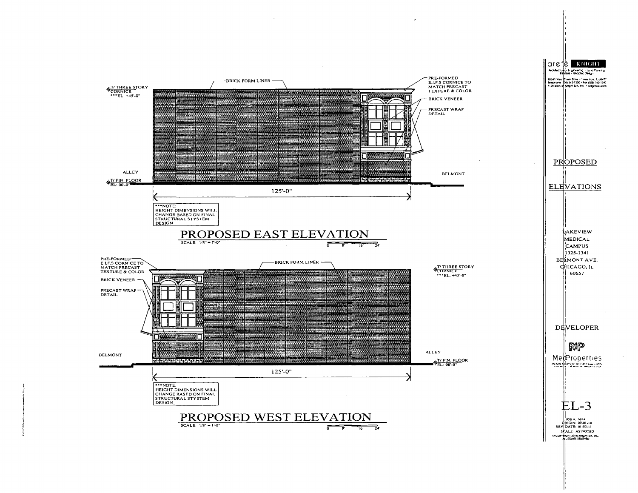